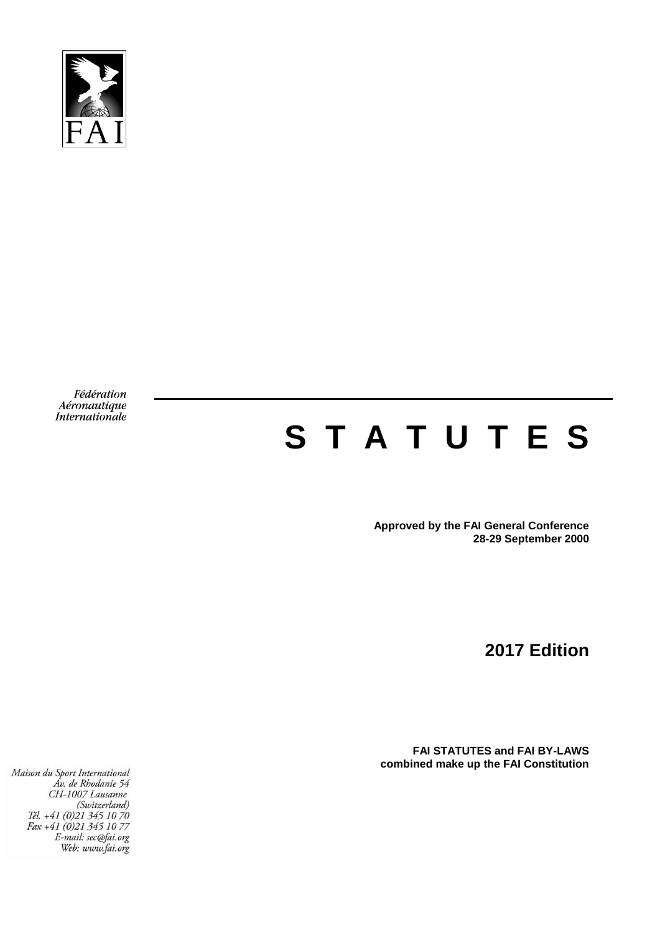

Fédération Aéronautique Internationale

# **S T A T U T E S**

**Approved by the FAI General Conference 28-29 September 2000**

**2017 Edition**

**FAI STATUTES and FAI BY-LAWS combined make up the FAI Constitution**

Maison du Sport International<br>Av. de Rhodanie 54 CH-1007 Lausanne  $(5n-100)$  Lausanne<br>  $(5witzerland)$ <br>
Tél. +41 (0)21 345 10 70<br>
Fax +41 (0)21 345 10 77<br>  $E-mail:$  eec@fai.org E-mail: sec@fai.org<br>Web: www.fai.org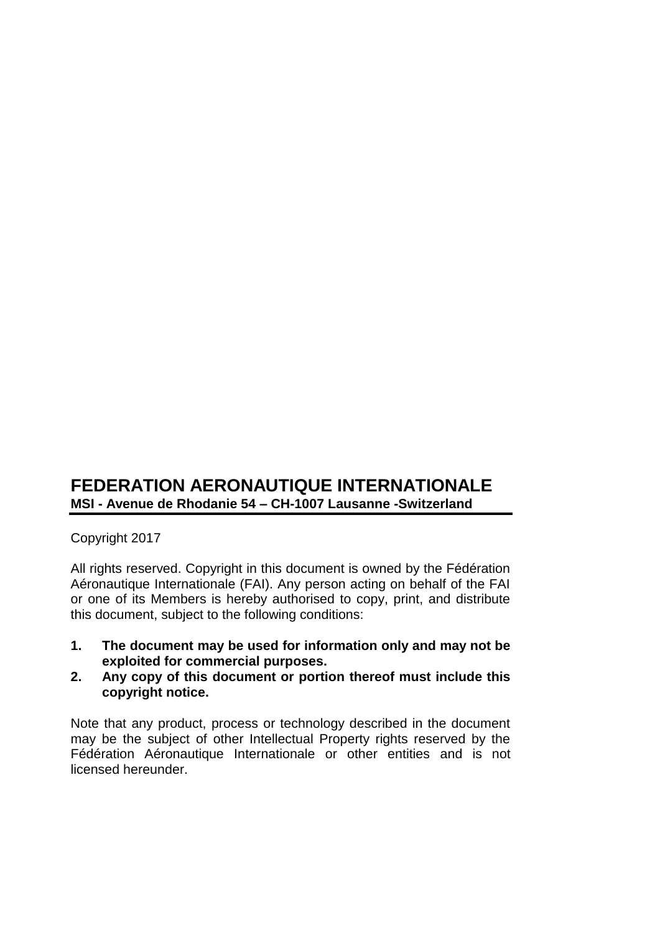# **FEDERATION AERONAUTIQUE INTERNATIONALE MSI - Avenue de Rhodanie 54 – CH-1007 Lausanne -Switzerland**

# Copyright 2017

All rights reserved. Copyright in this document is owned by the Fédération Aéronautique Internationale (FAI). Any person acting on behalf of the FAI or one of its Members is hereby authorised to copy, print, and distribute this document, subject to the following conditions:

- **1. The document may be used for information only and may not be exploited for commercial purposes.**
- **2. Any copy of this document or portion thereof must include this copyright notice.**

Note that any product, process or technology described in the document may be the subject of other Intellectual Property rights reserved by the Fédération Aéronautique Internationale or other entities and is not licensed hereunder.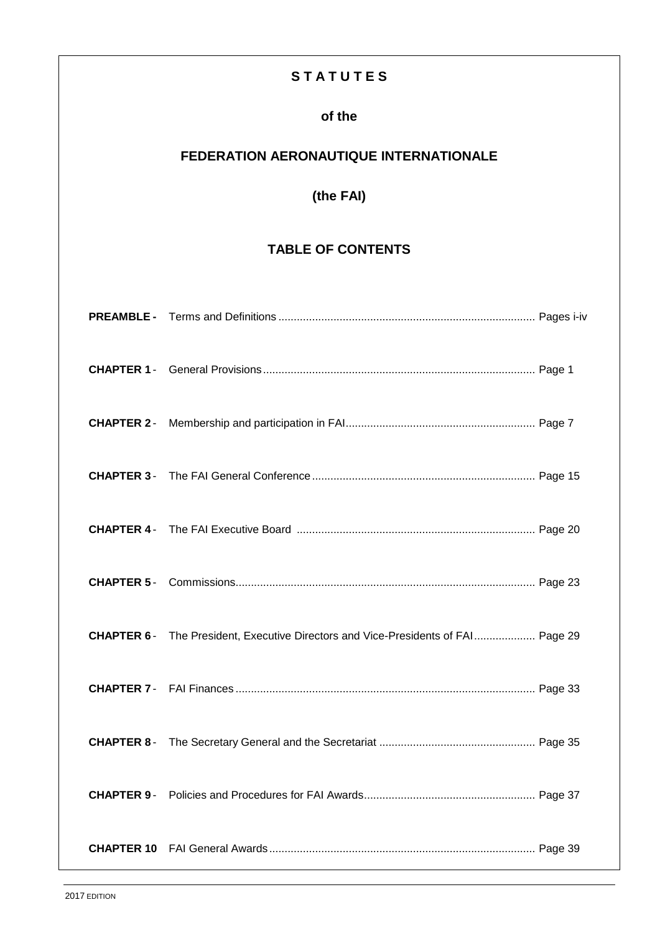# **S T A T U T E S**

# **of the**

# **FEDERATION AERONAUTIQUE INTERNATIONALE**

# **(the FAI)**

# **TABLE OF CONTENTS**

|                   | CHAPTER 6- The President, Executive Directors and Vice-Presidents of FAI Page 29 |  |
|-------------------|----------------------------------------------------------------------------------|--|
|                   |                                                                                  |  |
| <b>CHAPTER 8-</b> |                                                                                  |  |
|                   |                                                                                  |  |
|                   |                                                                                  |  |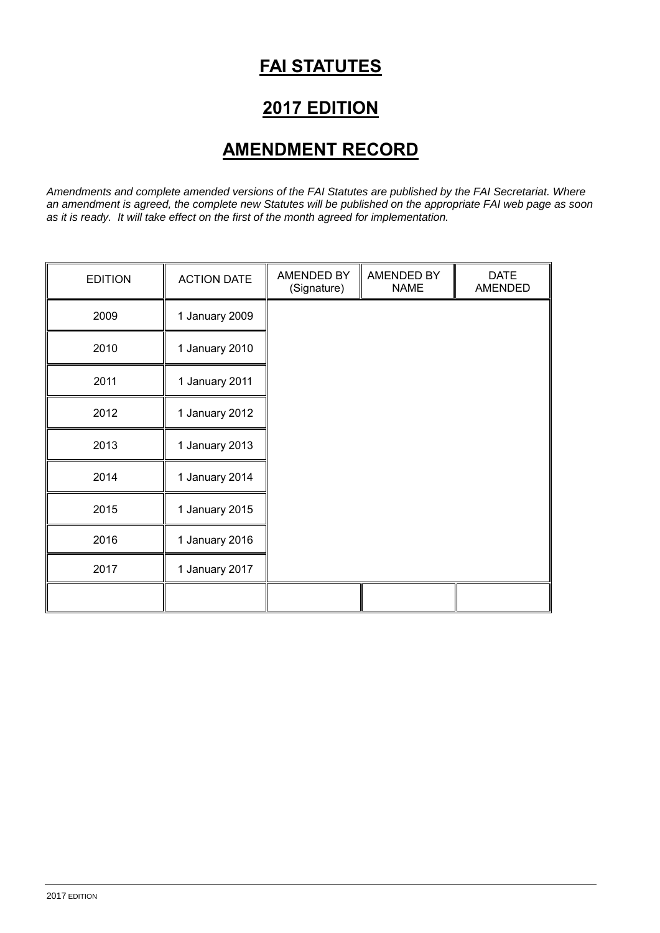# **FAI STATUTES**

# **2017 EDITION**

# **AMENDMENT RECORD**

*Amendments and complete amended versions of the FAI Statutes are published by the FAI Secretariat. Where an amendment is agreed, the complete new Statutes will be published on the appropriate FAI web page as soon as it is ready. It will take effect on the first of the month agreed for implementation.*

| <b>EDITION</b> | <b>ACTION DATE</b> | AMENDED BY<br>(Signature) | AMENDED BY<br><b>NAME</b> | <b>DATE</b><br>AMENDED |
|----------------|--------------------|---------------------------|---------------------------|------------------------|
| 2009           | 1 January 2009     |                           |                           |                        |
| 2010           | 1 January 2010     |                           |                           |                        |
| 2011           | 1 January 2011     |                           |                           |                        |
| 2012           | 1 January 2012     |                           |                           |                        |
| 2013           | 1 January 2013     |                           |                           |                        |
| 2014           | 1 January 2014     |                           |                           |                        |
| 2015           | 1 January 2015     |                           |                           |                        |
| 2016           | 1 January 2016     |                           |                           |                        |
| 2017           | 1 January 2017     |                           |                           |                        |
|                |                    |                           |                           |                        |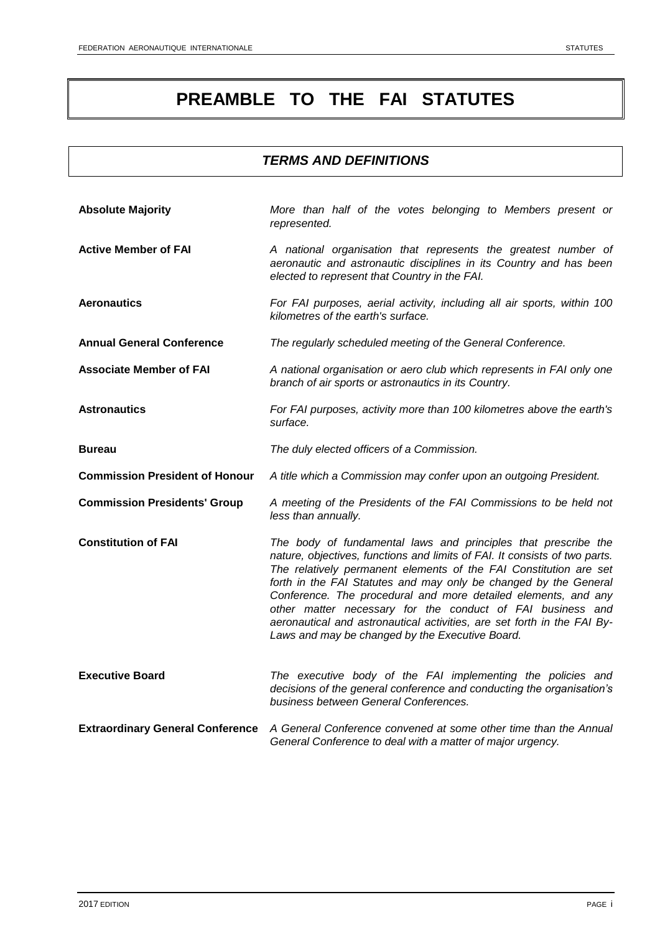# **PREAMBLE TO THE FAI STATUTES**

# *TERMS AND DEFINITIONS*

| <b>Absolute Majority</b>                | More than half of the votes belonging to Members present or<br>represented.                                                                                                                                                                                                                                                                                                                                                                                                                                                                         |
|-----------------------------------------|-----------------------------------------------------------------------------------------------------------------------------------------------------------------------------------------------------------------------------------------------------------------------------------------------------------------------------------------------------------------------------------------------------------------------------------------------------------------------------------------------------------------------------------------------------|
| <b>Active Member of FAI</b>             | A national organisation that represents the greatest number of<br>aeronautic and astronautic disciplines in its Country and has been<br>elected to represent that Country in the FAI.                                                                                                                                                                                                                                                                                                                                                               |
| <b>Aeronautics</b>                      | For FAI purposes, aerial activity, including all air sports, within 100<br>kilometres of the earth's surface.                                                                                                                                                                                                                                                                                                                                                                                                                                       |
| <b>Annual General Conference</b>        | The regularly scheduled meeting of the General Conference.                                                                                                                                                                                                                                                                                                                                                                                                                                                                                          |
| <b>Associate Member of FAI</b>          | A national organisation or aero club which represents in FAI only one<br>branch of air sports or astronautics in its Country.                                                                                                                                                                                                                                                                                                                                                                                                                       |
| <b>Astronautics</b>                     | For FAI purposes, activity more than 100 kilometres above the earth's<br>surface.                                                                                                                                                                                                                                                                                                                                                                                                                                                                   |
| <b>Bureau</b>                           | The duly elected officers of a Commission.                                                                                                                                                                                                                                                                                                                                                                                                                                                                                                          |
| <b>Commission President of Honour</b>   | A title which a Commission may confer upon an outgoing President.                                                                                                                                                                                                                                                                                                                                                                                                                                                                                   |
| <b>Commission Presidents' Group</b>     | A meeting of the Presidents of the FAI Commissions to be held not<br>less than annually.                                                                                                                                                                                                                                                                                                                                                                                                                                                            |
| <b>Constitution of FAI</b>              | The body of fundamental laws and principles that prescribe the<br>nature, objectives, functions and limits of FAI. It consists of two parts.<br>The relatively permanent elements of the FAI Constitution are set<br>forth in the FAI Statutes and may only be changed by the General<br>Conference. The procedural and more detailed elements, and any<br>other matter necessary for the conduct of FAI business and<br>aeronautical and astronautical activities, are set forth in the FAI By-<br>Laws and may be changed by the Executive Board. |
| <b>Executive Board</b>                  | The executive body of the FAI implementing the policies and<br>decisions of the general conference and conducting the organisation's<br>business between General Conferences.                                                                                                                                                                                                                                                                                                                                                                       |
| <b>Extraordinary General Conference</b> | A General Conference convened at some other time than the Annual<br>General Conference to deal with a matter of major urgency.                                                                                                                                                                                                                                                                                                                                                                                                                      |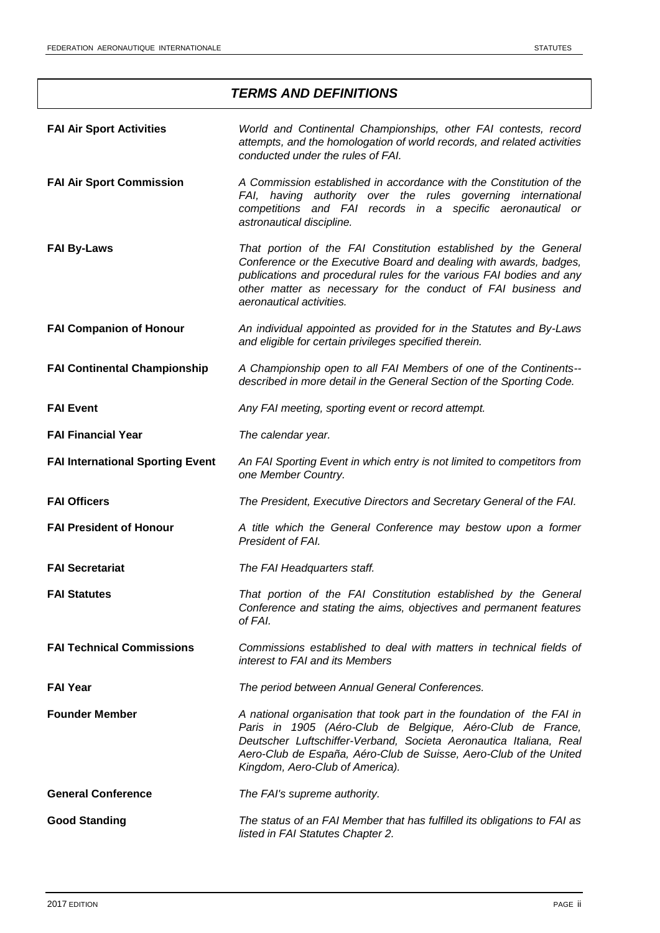# *TERMS AND DEFINITIONS*

| <b>FAI Air Sport Activities</b>         | World and Continental Championships, other FAI contests, record<br>attempts, and the homologation of world records, and related activities<br>conducted under the rules of FAI.                                                                                                                                    |
|-----------------------------------------|--------------------------------------------------------------------------------------------------------------------------------------------------------------------------------------------------------------------------------------------------------------------------------------------------------------------|
| <b>FAI Air Sport Commission</b>         | A Commission established in accordance with the Constitution of the<br>FAI, having authority over the rules governing international<br>competitions and FAI records in a specific aeronautical or<br>astronautical discipline.                                                                                     |
| <b>FAI By-Laws</b>                      | That portion of the FAI Constitution established by the General<br>Conference or the Executive Board and dealing with awards, badges,<br>publications and procedural rules for the various FAI bodies and any<br>other matter as necessary for the conduct of FAI business and<br>aeronautical activities.         |
| <b>FAI Companion of Honour</b>          | An individual appointed as provided for in the Statutes and By-Laws<br>and eligible for certain privileges specified therein.                                                                                                                                                                                      |
| <b>FAI Continental Championship</b>     | A Championship open to all FAI Members of one of the Continents--<br>described in more detail in the General Section of the Sporting Code.                                                                                                                                                                         |
| <b>FAI Event</b>                        | Any FAI meeting, sporting event or record attempt.                                                                                                                                                                                                                                                                 |
| <b>FAI Financial Year</b>               | The calendar year.                                                                                                                                                                                                                                                                                                 |
| <b>FAI International Sporting Event</b> | An FAI Sporting Event in which entry is not limited to competitors from<br>one Member Country.                                                                                                                                                                                                                     |
| <b>FAI Officers</b>                     | The President, Executive Directors and Secretary General of the FAI.                                                                                                                                                                                                                                               |
| <b>FAI President of Honour</b>          | A title which the General Conference may bestow upon a former<br>President of FAI.                                                                                                                                                                                                                                 |
| <b>FAI Secretariat</b>                  | The FAI Headquarters staff.                                                                                                                                                                                                                                                                                        |
| <b>FAI Statutes</b>                     | That portion of the FAI Constitution established by the General<br>Conference and stating the aims, objectives and permanent features<br>of FAI.                                                                                                                                                                   |
| <b>FAI Technical Commissions</b>        | Commissions established to deal with matters in technical fields of<br>interest to FAI and its Members                                                                                                                                                                                                             |
| <b>FAI Year</b>                         | The period between Annual General Conferences.                                                                                                                                                                                                                                                                     |
| <b>Founder Member</b>                   | A national organisation that took part in the foundation of the FAI in<br>Paris in 1905 (Aéro-Club de Belgique, Aéro-Club de France,<br>Deutscher Luftschiffer-Verband, Societa Aeronautica Italiana, Real<br>Aero-Club de España, Aéro-Club de Suisse, Aero-Club of the United<br>Kingdom, Aero-Club of America). |
| <b>General Conference</b>               | The FAI's supreme authority.                                                                                                                                                                                                                                                                                       |
| <b>Good Standing</b>                    | The status of an FAI Member that has fulfilled its obligations to FAI as<br>listed in FAI Statutes Chapter 2.                                                                                                                                                                                                      |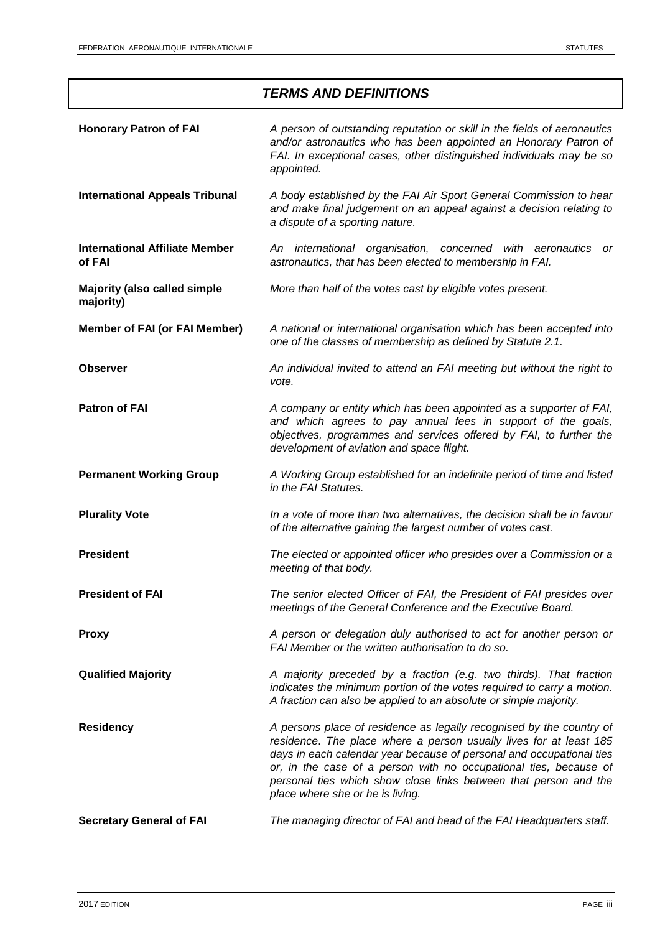|                                                  | <b>TERMS AND DEFINITIONS</b>                                                                                                                                                                                                                                                                                                                                                                    |
|--------------------------------------------------|-------------------------------------------------------------------------------------------------------------------------------------------------------------------------------------------------------------------------------------------------------------------------------------------------------------------------------------------------------------------------------------------------|
| <b>Honorary Patron of FAI</b>                    | A person of outstanding reputation or skill in the fields of aeronautics<br>and/or astronautics who has been appointed an Honorary Patron of<br>FAI. In exceptional cases, other distinguished individuals may be so<br>appointed.                                                                                                                                                              |
| <b>International Appeals Tribunal</b>            | A body established by the FAI Air Sport General Commission to hear<br>and make final judgement on an appeal against a decision relating to<br>a dispute of a sporting nature.                                                                                                                                                                                                                   |
| <b>International Affiliate Member</b><br>of FAI  | An international organisation, concerned with aeronautics<br>- or<br>astronautics, that has been elected to membership in FAI.                                                                                                                                                                                                                                                                  |
| <b>Majority (also called simple</b><br>majority) | More than half of the votes cast by eligible votes present.                                                                                                                                                                                                                                                                                                                                     |
| <b>Member of FAI (or FAI Member)</b>             | A national or international organisation which has been accepted into<br>one of the classes of membership as defined by Statute 2.1.                                                                                                                                                                                                                                                            |
| <b>Observer</b>                                  | An individual invited to attend an FAI meeting but without the right to<br>vote.                                                                                                                                                                                                                                                                                                                |
| <b>Patron of FAI</b>                             | A company or entity which has been appointed as a supporter of FAI,<br>and which agrees to pay annual fees in support of the goals,<br>objectives, programmes and services offered by FAI, to further the<br>development of aviation and space flight.                                                                                                                                          |
| <b>Permanent Working Group</b>                   | A Working Group established for an indefinite period of time and listed<br>in the FAI Statutes.                                                                                                                                                                                                                                                                                                 |
| <b>Plurality Vote</b>                            | In a vote of more than two alternatives, the decision shall be in favour<br>of the alternative gaining the largest number of votes cast.                                                                                                                                                                                                                                                        |
| <b>President</b>                                 | The elected or appointed officer who presides over a Commission or a<br>meeting of that body.                                                                                                                                                                                                                                                                                                   |
| <b>President of FAI</b>                          | The senior elected Officer of FAI, the President of FAI presides over<br>meetings of the General Conference and the Executive Board.                                                                                                                                                                                                                                                            |
| <b>Proxy</b>                                     | A person or delegation duly authorised to act for another person or<br>FAI Member or the written authorisation to do so.                                                                                                                                                                                                                                                                        |
| <b>Qualified Majority</b>                        | A majority preceded by a fraction (e.g. two thirds). That fraction<br>indicates the minimum portion of the votes required to carry a motion.<br>A fraction can also be applied to an absolute or simple majority.                                                                                                                                                                               |
| <b>Residency</b>                                 | A persons place of residence as legally recognised by the country of<br>residence. The place where a person usually lives for at least 185<br>days in each calendar year because of personal and occupational ties<br>or, in the case of a person with no occupational ties, because of<br>personal ties which show close links between that person and the<br>place where she or he is living. |
| <b>Secretary General of FAI</b>                  | The managing director of FAI and head of the FAI Headquarters staff.                                                                                                                                                                                                                                                                                                                            |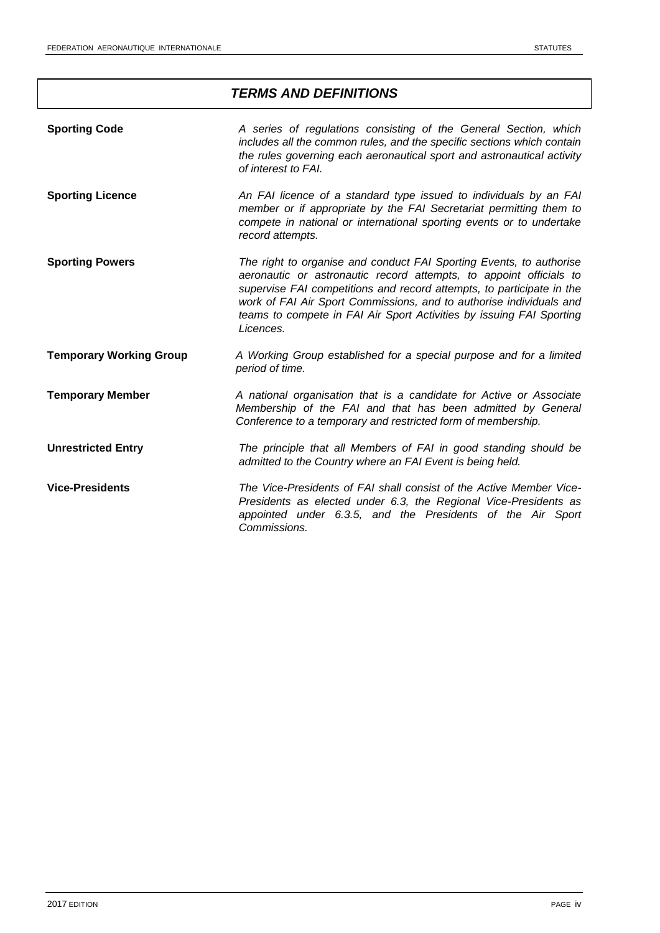# *TERMS AND DEFINITIONS*

| <b>Sporting Code</b>           | A series of regulations consisting of the General Section, which<br>includes all the common rules, and the specific sections which contain<br>the rules governing each aeronautical sport and astronautical activity<br>of interest to FAI.                                                                                                                                    |
|--------------------------------|--------------------------------------------------------------------------------------------------------------------------------------------------------------------------------------------------------------------------------------------------------------------------------------------------------------------------------------------------------------------------------|
| <b>Sporting Licence</b>        | An FAI licence of a standard type issued to individuals by an FAI<br>member or if appropriate by the FAI Secretariat permitting them to<br>compete in national or international sporting events or to undertake<br>record attempts.                                                                                                                                            |
| <b>Sporting Powers</b>         | The right to organise and conduct FAI Sporting Events, to authorise<br>aeronautic or astronautic record attempts, to appoint officials to<br>supervise FAI competitions and record attempts, to participate in the<br>work of FAI Air Sport Commissions, and to authorise individuals and<br>teams to compete in FAI Air Sport Activities by issuing FAI Sporting<br>Licences. |
| <b>Temporary Working Group</b> | A Working Group established for a special purpose and for a limited<br>period of time.                                                                                                                                                                                                                                                                                         |
| <b>Temporary Member</b>        | A national organisation that is a candidate for Active or Associate<br>Membership of the FAI and that has been admitted by General<br>Conference to a temporary and restricted form of membership.                                                                                                                                                                             |
| <b>Unrestricted Entry</b>      | The principle that all Members of FAI in good standing should be<br>admitted to the Country where an FAI Event is being held.                                                                                                                                                                                                                                                  |
| <b>Vice-Presidents</b>         | The Vice-Presidents of FAI shall consist of the Active Member Vice-<br>Presidents as elected under 6.3, the Regional Vice-Presidents as<br>appointed under 6.3.5, and the Presidents of the Air Sport<br>Commissions.                                                                                                                                                          |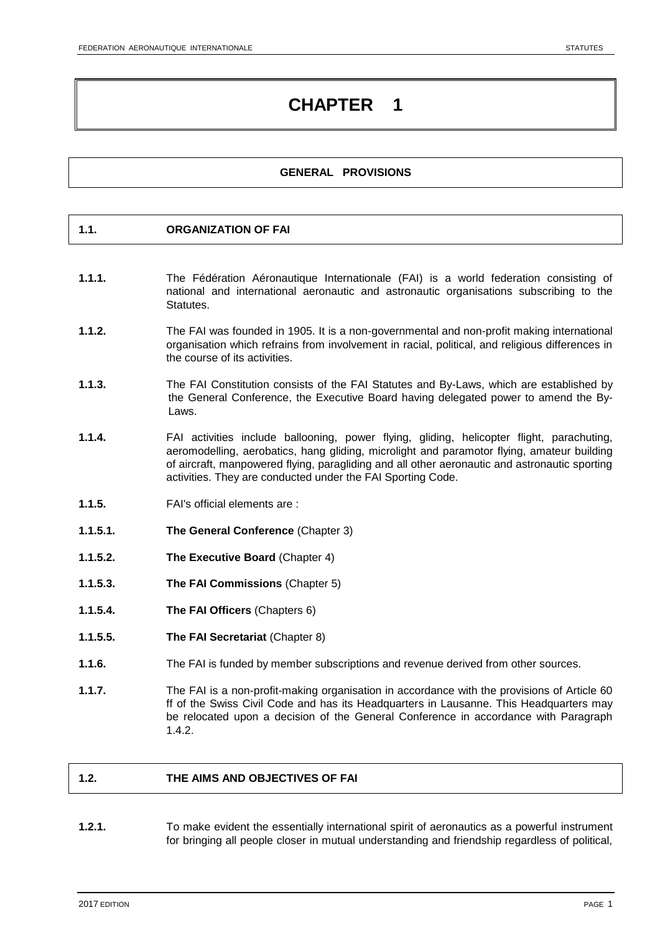### **GENERAL PROVISIONS**

### **1.1. ORGANIZATION OF FAI**

- **1.1.1.** The Fédération Aéronautique Internationale (FAI) is a world federation consisting of national and international aeronautic and astronautic organisations subscribing to the Statutes.
- **1.1.2.** The FAI was founded in 1905. It is a non-governmental and non-profit making international organisation which refrains from involvement in racial, political, and religious differences in the course of its activities.
- **1.1.3.** The FAI Constitution consists of the FAI Statutes and By-Laws, which are established by the General Conference, the Executive Board having delegated power to amend the By-Laws.
- **1.1.4.** FAI activities include ballooning, power flying, gliding, helicopter flight, parachuting, aeromodelling, aerobatics, hang gliding, microlight and paramotor flying, amateur building of aircraft, manpowered flying, paragliding and all other aeronautic and astronautic sporting activities. They are conducted under the FAI Sporting Code.
- **1.1.5.** FAI's official elements are :
- **1.1.5.1. The General Conference** (Chapter 3)
- **1.1.5.2. The Executive Board** (Chapter 4)
- **1.1.5.3. The FAI Commissions** (Chapter 5)
- **1.1.5.4. The FAI Officers** (Chapters 6)
- **1.1.5.5. The FAI Secretariat** (Chapter 8)
- **1.1.6.** The FAI is funded by member subscriptions and revenue derived from other sources.
- **1.1.7.** The FAI is a non-profit-making organisation in accordance with the provisions of Article 60 ff of the Swiss Civil Code and has its Headquarters in Lausanne. This Headquarters may be relocated upon a decision of the General Conference in accordance with Paragraph 1.4.2.

### **1.2. THE AIMS AND OBJECTIVES OF FAI**

**1.2.1.** To make evident the essentially international spirit of aeronautics as a powerful instrument for bringing all people closer in mutual understanding and friendship regardless of political,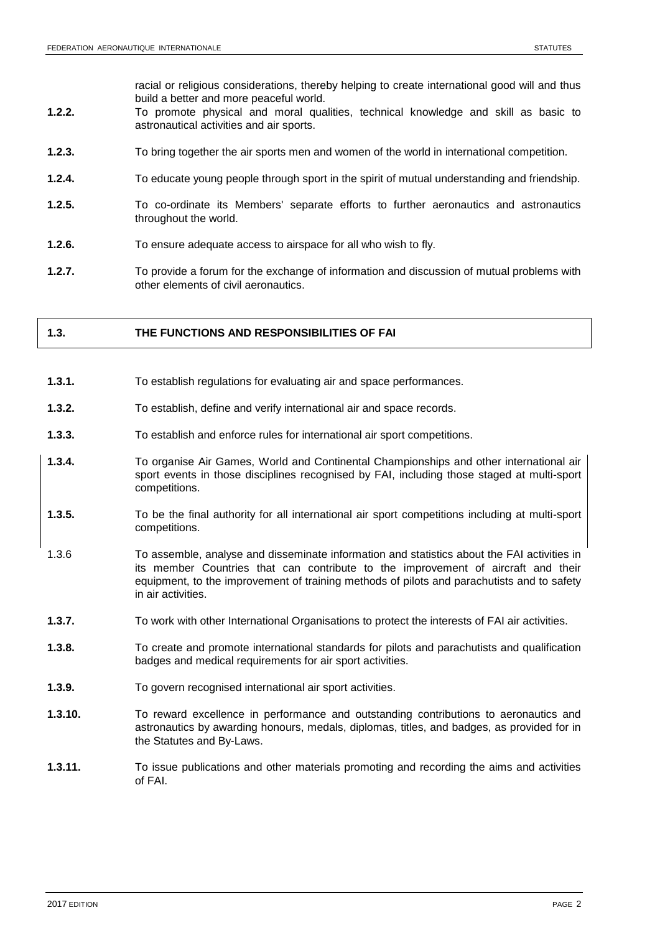racial or religious considerations, thereby helping to create international good will and thus build a better and more peaceful world.

- **1.2.2.** To promote physical and moral qualities, technical knowledge and skill as basic to astronautical activities and air sports.
- **1.2.3.** To bring together the air sports men and women of the world in international competition.
- **1.2.4.** To educate young people through sport in the spirit of mutual understanding and friendship.
- **1.2.5.** To co-ordinate its Members' separate efforts to further aeronautics and astronautics throughout the world.
- **1.2.6.** To ensure adequate access to airspace for all who wish to fly.
- **1.2.7.** To provide a forum for the exchange of information and discussion of mutual problems with other elements of civil aeronautics.

### **1.3. THE FUNCTIONS AND RESPONSIBILITIES OF FAI**

- **1.3.1.** To establish regulations for evaluating air and space performances.
- **1.3.2.** To establish, define and verify international air and space records.
- **1.3.3.** To establish and enforce rules for international air sport competitions.
- **1.3.4.** To organise Air Games, World and Continental Championships and other international air sport events in those disciplines recognised by FAI, including those staged at multi-sport competitions.
- **1.3.5.** To be the final authority for all international air sport competitions including at multi-sport competitions.
- 1.3.6 To assemble, analyse and disseminate information and statistics about the FAI activities in its member Countries that can contribute to the improvement of aircraft and their equipment, to the improvement of training methods of pilots and parachutists and to safety in air activities.
- **1.3.7.** To work with other International Organisations to protect the interests of FAI air activities.
- **1.3.8.** To create and promote international standards for pilots and parachutists and qualification badges and medical requirements for air sport activities.
- **1.3.9.** To govern recognised international air sport activities.
- **1.3.10.** To reward excellence in performance and outstanding contributions to aeronautics and astronautics by awarding honours, medals, diplomas, titles, and badges, as provided for in the Statutes and By-Laws.
- **1.3.11.** To issue publications and other materials promoting and recording the aims and activities of FAI.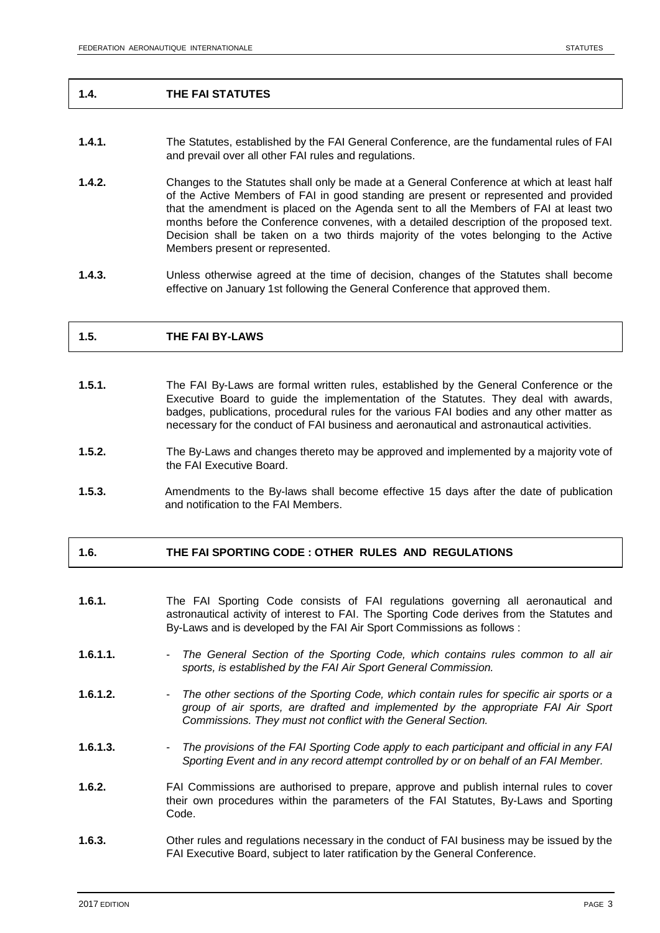### **1.4. THE FAI STATUTES**

- **1.4.1.** The Statutes, established by the FAI General Conference, are the fundamental rules of FAI and prevail over all other FAI rules and regulations.
- **1.4.2.** Changes to the Statutes shall only be made at a General Conference at which at least half of the Active Members of FAI in good standing are present or represented and provided that the amendment is placed on the Agenda sent to all the Members of FAI at least two months before the Conference convenes, with a detailed description of the proposed text. Decision shall be taken on a two thirds majority of the votes belonging to the Active Members present or represented.
- **1.4.3.** Unless otherwise agreed at the time of decision, changes of the Statutes shall become effective on January 1st following the General Conference that approved them.

### **1.5. THE FAI BY-LAWS**

- **1.5.1.** The FAI By-Laws are formal written rules, established by the General Conference or the Executive Board to guide the implementation of the Statutes. They deal with awards, badges, publications, procedural rules for the various FAI bodies and any other matter as necessary for the conduct of FAI business and aeronautical and astronautical activities.
- **1.5.2.** The By-Laws and changes thereto may be approved and implemented by a majority vote of the FAI Executive Board.
- **1.5.3.** Amendments to the By-laws shall become effective 15 days after the date of publication and notification to the FAI Members.

### **1.6. THE FAI SPORTING CODE : OTHER RULES AND REGULATIONS**

- **1.6.1.** The FAI Sporting Code consists of FAI regulations governing all aeronautical and astronautical activity of interest to FAI. The Sporting Code derives from the Statutes and By-Laws and is developed by the FAI Air Sport Commissions as follows :
- 1.6.1.1. The General Section of the Sporting Code, which contains rules common to all air *sports, is established by the FAI Air Sport General Commission.*
- **1.6.1.2.** *The other sections of the Sporting Code, which contain rules for specific air sports or a group of air sports, are drafted and implemented by the appropriate FAI Air Sport Commissions. They must not conflict with the General Section.*
- **1.6.1.3.** *The provisions of the FAI Sporting Code apply to each participant and official in any FAI Sporting Event and in any record attempt controlled by or on behalf of an FAI Member.*
- **1.6.2.** FAI Commissions are authorised to prepare, approve and publish internal rules to cover their own procedures within the parameters of the FAI Statutes, By-Laws and Sporting Code.
- **1.6.3.** Other rules and regulations necessary in the conduct of FAI business may be issued by the FAI Executive Board, subject to later ratification by the General Conference.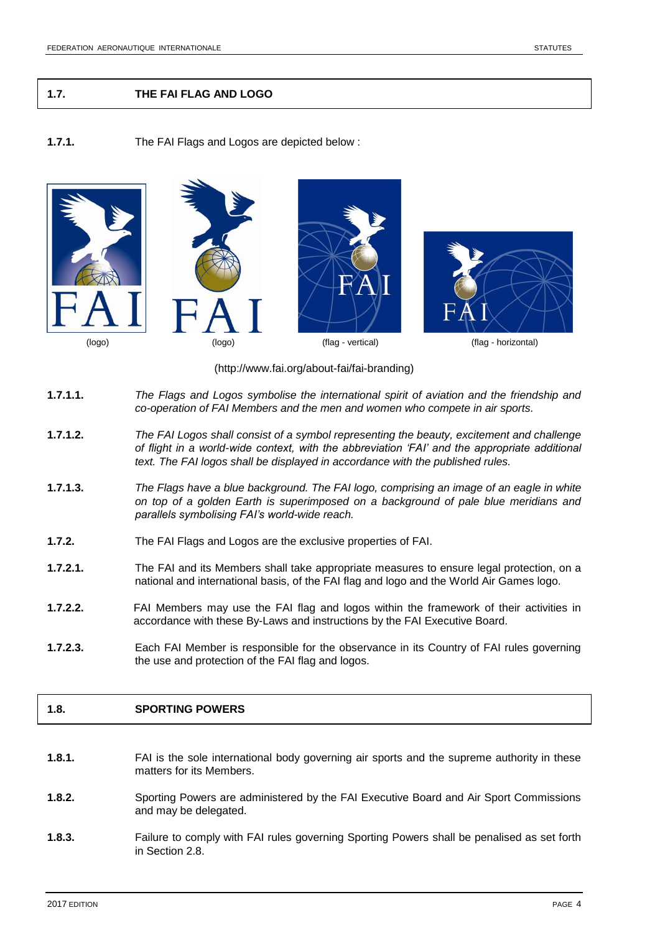### **1.7. THE FAI FLAG AND LOGO**

### **1.7.1.** The FAI Flags and Logos are depicted below :



(http://www.fai.org/about-fai/fai-branding)

- **1.7.1.1.** *The Flags and Logos symbolise the international spirit of aviation and the friendship and co-operation of FAI Members and the men and women who compete in air sports.*
- **1.7.1.2.** *The FAI Logos shall consist of a symbol representing the beauty, excitement and challenge of flight in a world-wide context, with the abbreviation 'FAI' and the appropriate additional text. The FAI logos shall be displayed in accordance with the published rules.*
- **1.7.1.3.** *The Flags have a blue background. The FAI logo, comprising an image of an eagle in white on top of a golden Earth is superimposed on a background of pale blue meridians and parallels symbolising FAI's world-wide reach.*
- **1.7.2.** The FAI Flags and Logos are the exclusive properties of FAI.
- **1.7.2.1.** The FAI and its Members shall take appropriate measures to ensure legal protection, on a national and international basis, of the FAI flag and logo and the World Air Games logo.
- **1.7.2.2.** FAI Members may use the FAI flag and logos within the framework of their activities in accordance with these By-Laws and instructions by the FAI Executive Board.
- **1.7.2.3.** Each FAI Member is responsible for the observance in its Country of FAI rules governing the use and protection of the FAI flag and logos.

### **1.8. SPORTING POWERS**

- **1.8.1.** FAI is the sole international body governing air sports and the supreme authority in these matters for its Members.
- **1.8.2.** Sporting Powers are administered by the FAI Executive Board and Air Sport Commissions and may be delegated.
- **1.8.3.** Failure to comply with FAI rules governing Sporting Powers shall be penalised as set forth in Section 2.8.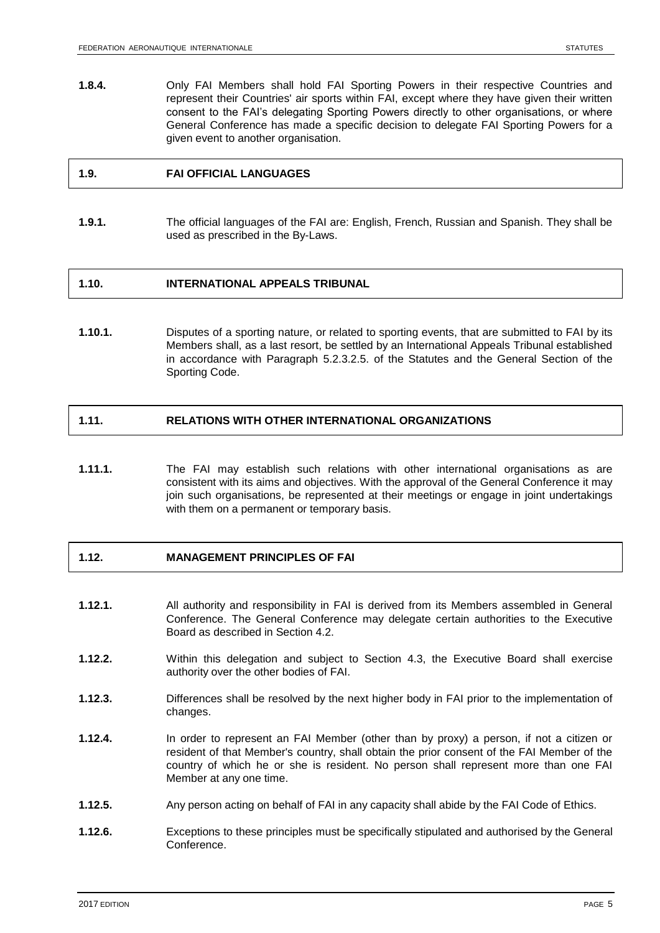**1.8.4.** Only FAI Members shall hold FAI Sporting Powers in their respective Countries and represent their Countries' air sports within FAI, except where they have given their written consent to the FAI's delegating Sporting Powers directly to other organisations, or where General Conference has made a specific decision to delegate FAI Sporting Powers for a given event to another organisation.

### **1.9. FAI OFFICIAL LANGUAGES**

**1.9.1.** The official languages of the FAI are: English, French, Russian and Spanish. They shall be used as prescribed in the By-Laws.

### **1.10. INTERNATIONAL APPEALS TRIBUNAL**

**1.10.1.** Disputes of a sporting nature, or related to sporting events, that are submitted to FAI by its Members shall, as a last resort, be settled by an International Appeals Tribunal established in accordance with Paragraph 5.2.3.2.5. of the Statutes and the General Section of the Sporting Code.

### **1.11. RELATIONS WITH OTHER INTERNATIONAL ORGANIZATIONS**

**1.11.1.** The FAI may establish such relations with other international organisations as are consistent with its aims and objectives. With the approval of the General Conference it may join such organisations, be represented at their meetings or engage in joint undertakings with them on a permanent or temporary basis.

# **1.12. MANAGEMENT PRINCIPLES OF FAI**

- **1.12.1.** All authority and responsibility in FAI is derived from its Members assembled in General Conference. The General Conference may delegate certain authorities to the Executive Board as described in Section 4.2.
- **1.12.2.** Within this delegation and subject to Section 4.3, the Executive Board shall exercise authority over the other bodies of FAI.
- **1.12.3.** Differences shall be resolved by the next higher body in FAI prior to the implementation of changes.
- **1.12.4.** In order to represent an FAI Member (other than by proxy) a person, if not a citizen or resident of that Member's country, shall obtain the prior consent of the FAI Member of the country of which he or she is resident. No person shall represent more than one FAI Member at any one time.
- **1.12.5.** Any person acting on behalf of FAI in any capacity shall abide by the FAI Code of Ethics.
- **1.12.6.** Exceptions to these principles must be specifically stipulated and authorised by the General Conference.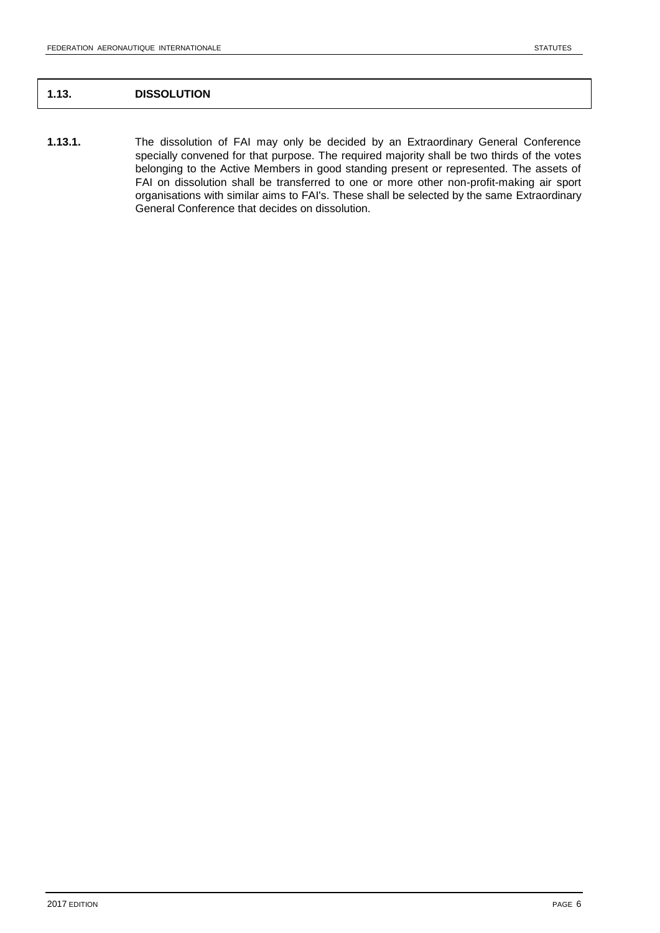# **1.13. DISSOLUTION**

**1.13.1.** The dissolution of FAI may only be decided by an Extraordinary General Conference specially convened for that purpose. The required majority shall be two thirds of the votes belonging to the Active Members in good standing present or represented. The assets of FAI on dissolution shall be transferred to one or more other non-profit-making air sport organisations with similar aims to FAI's. These shall be selected by the same Extraordinary General Conference that decides on dissolution.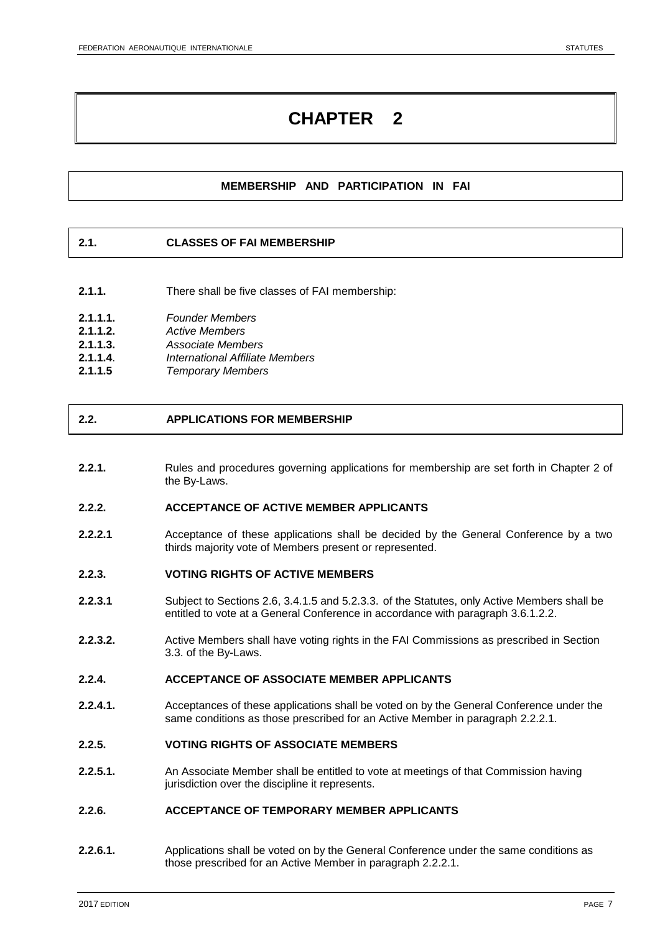# **MEMBERSHIP AND PARTICIPATION IN FAI**

### **2.1. CLASSES OF FAI MEMBERSHIP**

**2.1.1.** There shall be five classes of FAI membership:

| 2.1.1.1. | <b>Founder Members</b> |
|----------|------------------------|
|          |                        |

- 
- **2.1.1.2.** *Active Members* **2.1.1.3.** *Associate Members*
- **2.1.1.4**. *International Affiliate Members*
- **2.1.1.5** *Temporary Members*

### **2.2. APPLICATIONS FOR MEMBERSHIP**

**2.2.1.** Rules and procedures governing applications for membership are set forth in Chapter 2 of the By-Laws.

#### **2.2.2. ACCEPTANCE OF ACTIVE MEMBER APPLICANTS**

**2.2.2.1** Acceptance of these applications shall be decided by the General Conference by a two thirds majority vote of Members present or represented.

### **2.2.3. VOTING RIGHTS OF ACTIVE MEMBERS**

- **2.2.3.1** Subject to Sections 2.6, 3.4.1.5 and 5.2.3.3. of the Statutes, only Active Members shall be entitled to vote at a General Conference in accordance with paragraph 3.6.1.2.2.
- **2.2.3.2.** Active Members shall have voting rights in the FAI Commissions as prescribed in Section 3.3. of the By-Laws.

### **2.2.4. ACCEPTANCE OF ASSOCIATE MEMBER APPLICANTS**

**2.2.4.1.** Acceptances of these applications shall be voted on by the General Conference under the same conditions as those prescribed for an Active Member in paragraph 2.2.2.1.

### **2.2.5. VOTING RIGHTS OF ASSOCIATE MEMBERS**

**2.2.5.1.** An Associate Member shall be entitled to vote at meetings of that Commission having jurisdiction over the discipline it represents.

### **2.2.6. ACCEPTANCE OF TEMPORARY MEMBER APPLICANTS**

**2.2.6.1.** Applications shall be voted on by the General Conference under the same conditions as those prescribed for an Active Member in paragraph 2.2.2.1.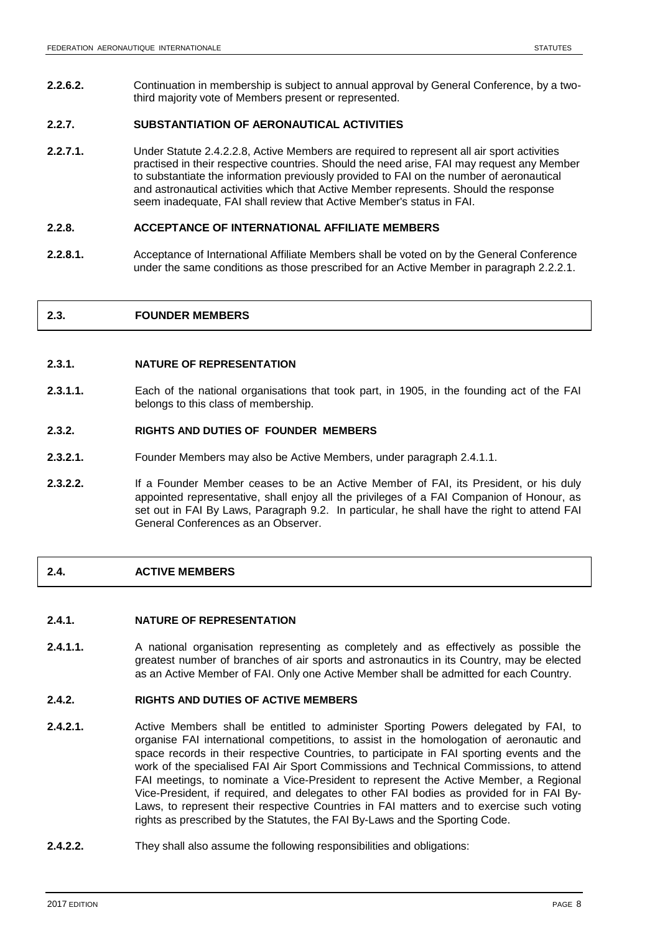**2.2.6.2.** Continuation in membership is subject to annual approval by General Conference, by a twothird majority vote of Members present or represented.

### **2.2.7. SUBSTANTIATION OF AERONAUTICAL ACTIVITIES**

**2.2.7.1.** Under Statute 2.4.2.2.8, Active Members are required to represent all air sport activities practised in their respective countries. Should the need arise, FAI may request any Member to substantiate the information previously provided to FAI on the number of aeronautical and astronautical activities which that Active Member represents. Should the response seem inadequate, FAI shall review that Active Member's status in FAI.

### **2.2.8. ACCEPTANCE OF INTERNATIONAL AFFILIATE MEMBERS**

**2.2.8.1.** Acceptance of International Affiliate Members shall be voted on by the General Conference under the same conditions as those prescribed for an Active Member in paragraph 2.2.2.1.

## **2.3. FOUNDER MEMBERS**

### **2.3.1. NATURE OF REPRESENTATION**

**2.3.1.1.** Each of the national organisations that took part, in 1905, in the founding act of the FAI belongs to this class of membership.

### **2.3.2. RIGHTS AND DUTIES OF FOUNDER MEMBERS**

- **2.3.2.1.** Founder Members may also be Active Members, under paragraph 2.4.1.1.
- **2.3.2.2.** If a Founder Member ceases to be an Active Member of FAI, its President, or his duly appointed representative, shall enjoy all the privileges of a FAI Companion of Honour, as set out in FAI By Laws, Paragraph 9.2. In particular, he shall have the right to attend FAI General Conferences as an Observer.

### **2.4. ACTIVE MEMBERS**

### **2.4.1. NATURE OF REPRESENTATION**

**2.4.1.1.** A national organisation representing as completely and as effectively as possible the greatest number of branches of air sports and astronautics in its Country, may be elected as an Active Member of FAI. Only one Active Member shall be admitted for each Country.

### **2.4.2. RIGHTS AND DUTIES OF ACTIVE MEMBERS**

- **2.4.2.1.** Active Members shall be entitled to administer Sporting Powers delegated by FAI, to organise FAI international competitions, to assist in the homologation of aeronautic and space records in their respective Countries, to participate in FAI sporting events and the work of the specialised FAI Air Sport Commissions and Technical Commissions, to attend FAI meetings, to nominate a Vice-President to represent the Active Member, a Regional Vice-President, if required, and delegates to other FAI bodies as provided for in FAI By-Laws, to represent their respective Countries in FAI matters and to exercise such voting rights as prescribed by the Statutes, the FAI By-Laws and the Sporting Code.
- **2.4.2.2.** They shall also assume the following responsibilities and obligations: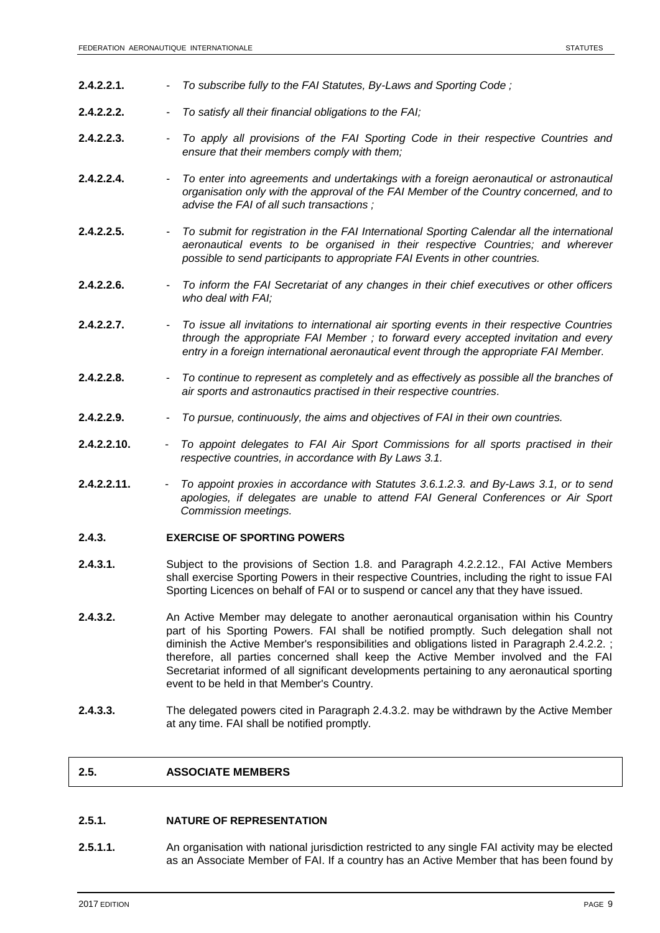- **2.4.2.2.1.** *To subscribe fully to the FAI Statutes, By-Laws and Sporting Code ;*
- **2.4.2.2.2.** *To satisfy all their financial obligations to the FAI;*
- **2.4.2.2.3.** *To apply all provisions of the FAI Sporting Code in their respective Countries and ensure that their members comply with them;*
- **2.4.2.2.4.** *To enter into agreements and undertakings with a foreign aeronautical or astronautical organisation only with the approval of the FAI Member of the Country concerned, and to advise the FAI of all such transactions ;*
- **2.4.2.2.5.** *To submit for registration in the FAI International Sporting Calendar all the international aeronautical events to be organised in their respective Countries; and wherever possible to send participants to appropriate FAI Events in other countries.*
- **2.4.2.2.6.** *To inform the FAI Secretariat of any changes in their chief executives or other officers who deal with FAI;*
- **2.4.2.2.7.** *To issue all invitations to international air sporting events in their respective Countries through the appropriate FAI Member ; to forward every accepted invitation and every entry in a foreign international aeronautical event through the appropriate FAI Member.*
- **2.4.2.2.8.** *To continue to represent as completely and as effectively as possible all the branches of air sports and astronautics practised in their respective countries.*
- **2.4.2.2.9.** *To pursue, continuously, the aims and objectives of FAI in their own countries.*
- **2.4.2.2.10.** *To appoint delegates to FAI Air Sport Commissions for all sports practised in their respective countries, in accordance with By Laws 3.1.*
- **2.4.2.2.11.** *To appoint proxies in accordance with Statutes 3.6.1.2.3. and By-Laws 3.1, or to send apologies, if delegates are unable to attend FAI General Conferences or Air Sport Commission meetings.*

### **2.4.3. EXERCISE OF SPORTING POWERS**

- **2.4.3.1.** Subject to the provisions of Section 1.8. and Paragraph 4.2.2.12., FAI Active Members shall exercise Sporting Powers in their respective Countries, including the right to issue FAI Sporting Licences on behalf of FAI or to suspend or cancel any that they have issued.
- **2.4.3.2.** An Active Member may delegate to another aeronautical organisation within his Country part of his Sporting Powers. FAI shall be notified promptly. Such delegation shall not diminish the Active Member's responsibilities and obligations listed in Paragraph 2.4.2.2. ; therefore, all parties concerned shall keep the Active Member involved and the FAI Secretariat informed of all significant developments pertaining to any aeronautical sporting event to be held in that Member's Country.
- **2.4.3.3.** The delegated powers cited in Paragraph 2.4.3.2. may be withdrawn by the Active Member at any time. FAI shall be notified promptly.

### **2.5. ASSOCIATE MEMBERS**

### **2.5.1. NATURE OF REPRESENTATION**

**2.5.1.1.** An organisation with national jurisdiction restricted to any single FAI activity may be elected as an Associate Member of FAI. If a country has an Active Member that has been found by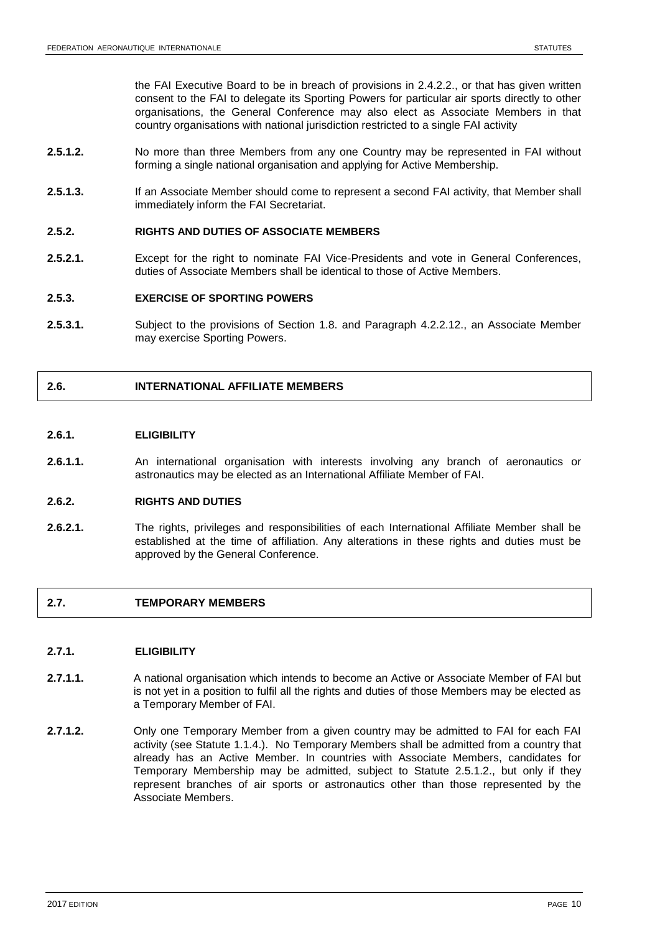the FAI Executive Board to be in breach of provisions in 2.4.2.2., or that has given written consent to the FAI to delegate its Sporting Powers for particular air sports directly to other organisations, the General Conference may also elect as Associate Members in that country organisations with national jurisdiction restricted to a single FAI activity

- **2.5.1.2.** No more than three Members from any one Country may be represented in FAI without forming a single national organisation and applying for Active Membership.
- **2.5.1.3.** If an Associate Member should come to represent a second FAI activity, that Member shall immediately inform the FAI Secretariat.

### **2.5.2. RIGHTS AND DUTIES OF ASSOCIATE MEMBERS**

**2.5.2.1.** Except for the right to nominate FAI Vice-Presidents and vote in General Conferences, duties of Associate Members shall be identical to those of Active Members.

### **2.5.3. EXERCISE OF SPORTING POWERS**

**2.5.3.1.** Subject to the provisions of Section 1.8. and Paragraph 4.2.2.12., an Associate Member may exercise Sporting Powers.

### **2.6. INTERNATIONAL AFFILIATE MEMBERS**

### **2.6.1. ELIGIBILITY**

**2.6.1.1.** An international organisation with interests involving any branch of aeronautics or astronautics may be elected as an International Affiliate Member of FAI.

### **2.6.2. RIGHTS AND DUTIES**

**2.6.2.1.** The rights, privileges and responsibilities of each International Affiliate Member shall be established at the time of affiliation. Any alterations in these rights and duties must be approved by the General Conference.

### **2.7. TEMPORARY MEMBERS**

### **2.7.1. ELIGIBILITY**

- **2.7.1.1.** A national organisation which intends to become an Active or Associate Member of FAI but is not yet in a position to fulfil all the rights and duties of those Members may be elected as a Temporary Member of FAI.
- **2.7.1.2.** Only one Temporary Member from a given country may be admitted to FAI for each FAI activity (see Statute 1.1.4.). No Temporary Members shall be admitted from a country that already has an Active Member. In countries with Associate Members, candidates for Temporary Membership may be admitted, subject to Statute 2.5.1.2., but only if they represent branches of air sports or astronautics other than those represented by the Associate Members.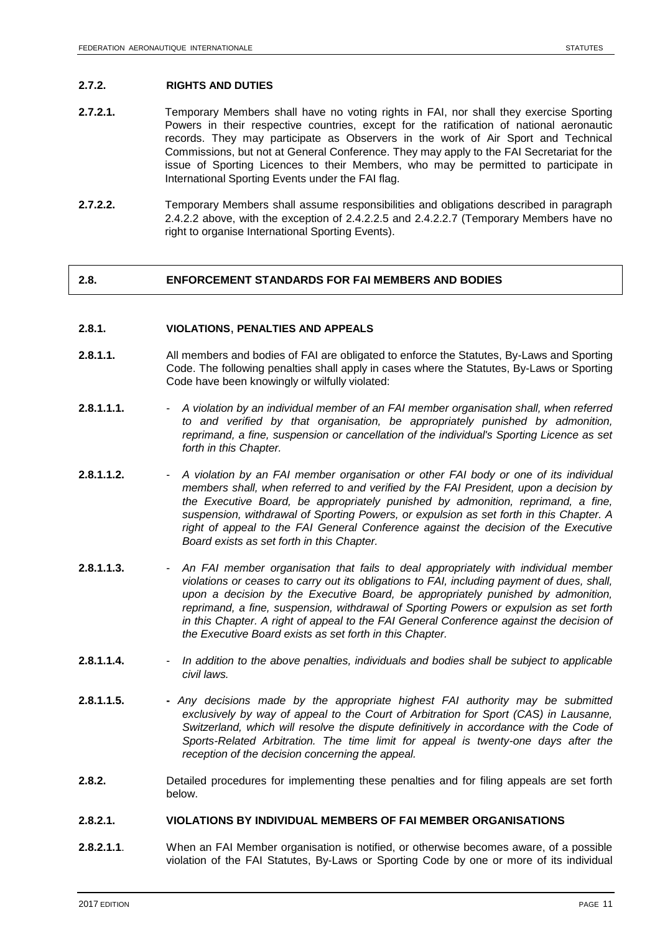### **2.7.2. RIGHTS AND DUTIES**

- **2.7.2.1.** Temporary Members shall have no voting rights in FAI, nor shall they exercise Sporting Powers in their respective countries, except for the ratification of national aeronautic records. They may participate as Observers in the work of Air Sport and Technical Commissions, but not at General Conference. They may apply to the FAI Secretariat for the issue of Sporting Licences to their Members, who may be permitted to participate in International Sporting Events under the FAI flag.
- **2.7.2.2.** Temporary Members shall assume responsibilities and obligations described in paragraph 2.4.2.2 above, with the exception of 2.4.2.2.5 and 2.4.2.2.7 (Temporary Members have no right to organise International Sporting Events).

### **2.8. ENFORCEMENT STANDARDS FOR FAI MEMBERS AND BODIES**

### **2.8.1. VIOLATIONS**, **PENALTIES AND APPEALS**

- **2.8.1.1.** All members and bodies of FAI are obligated to enforce the Statutes, By-Laws and Sporting Code. The following penalties shall apply in cases where the Statutes, By-Laws or Sporting Code have been knowingly or wilfully violated:
- **2.8.1.1.1.** *A violation by an individual member of an FAI member organisation shall, when referred to and verified by that organisation, be appropriately punished by admonition, reprimand, a fine, suspension or cancellation of the individual's Sporting Licence as set forth in this Chapter.*
- **2.8.1.1.2.** *A violation by an FAI member organisation or other FAI body or one of its individual members shall, when referred to and verified by the FAI President, upon a decision by the Executive Board, be appropriately punished by admonition, reprimand, a fine, suspension, withdrawal of Sporting Powers, or expulsion as set forth in this Chapter. A*  right of appeal to the FAI General Conference against the decision of the Executive *Board exists as set forth in this Chapter.*
- **2.8.1.1.3.** *An FAI member organisation that fails to deal appropriately with individual member violations or ceases to carry out its obligations to FAI, including payment of dues, shall, upon a decision by the Executive Board, be appropriately punished by admonition, reprimand, a fine, suspension, withdrawal of Sporting Powers or expulsion as set forth in this Chapter. A right of appeal to the FAI General Conference against the decision of the Executive Board exists as set forth in this Chapter.*
- **2.8.1.1.4.** *In addition to the above penalties, individuals and bodies shall be subject to applicable civil laws.*
- **2.8.1.1.5. -** *Any decisions made by the appropriate highest FAI authority may be submitted exclusively by way of appeal to the Court of Arbitration for Sport (CAS) in Lausanne, Switzerland, which will resolve the dispute definitively in accordance with the Code of Sports-Related Arbitration. The time limit for appeal is twenty-one days after the reception of the decision concerning the appeal.*
- **2.8.2.** Detailed procedures for implementing these penalties and for filing appeals are set forth below.

### **2.8.2.1. VIOLATIONS BY INDIVIDUAL MEMBERS OF FAI MEMBER ORGANISATIONS**

**2.8.2.1.1**. When an FAI Member organisation is notified, or otherwise becomes aware, of a possible violation of the FAI Statutes, By-Laws or Sporting Code by one or more of its individual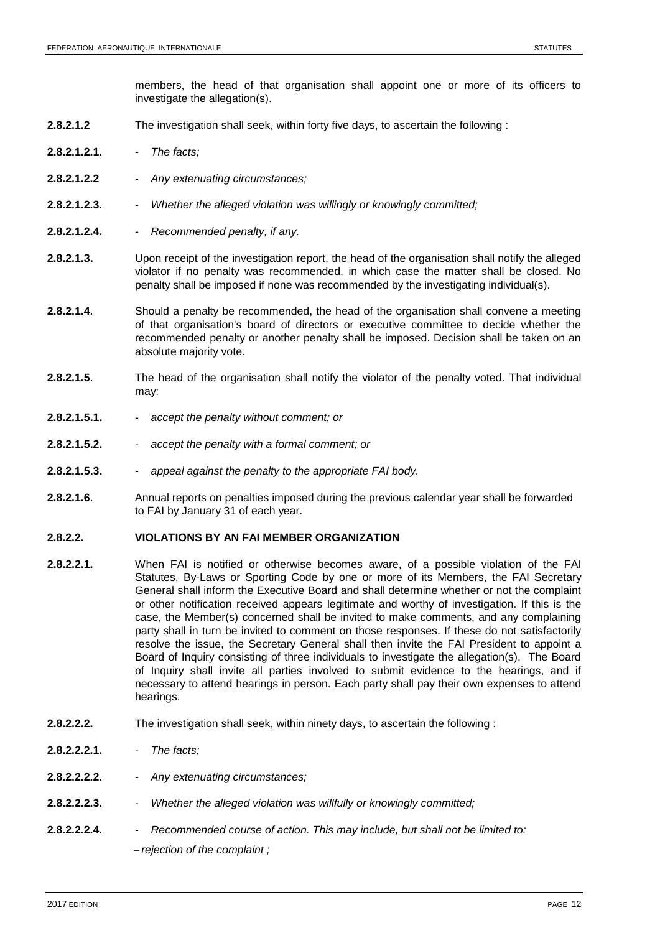members, the head of that organisation shall appoint one or more of its officers to investigate the allegation(s).

- **2.8.2.1.2** The investigation shall seek, within forty five days, to ascertain the following :
- **2.8.2.1.2.1.** *The facts;*
- **2.8.2.1.2.2** *Any extenuating circumstances;*
- **2.8.2.1.2.3.** *Whether the alleged violation was willingly or knowingly committed;*
- **2.8.2.1.2.4.** *Recommended penalty, if any.*
- **2.8.2.1.3.** Upon receipt of the investigation report, the head of the organisation shall notify the alleged violator if no penalty was recommended, in which case the matter shall be closed. No penalty shall be imposed if none was recommended by the investigating individual(s).
- **2.8.2.1.4**. Should a penalty be recommended, the head of the organisation shall convene a meeting of that organisation's board of directors or executive committee to decide whether the recommended penalty or another penalty shall be imposed. Decision shall be taken on an absolute majority vote.
- **2.8.2.1.5**. The head of the organisation shall notify the violator of the penalty voted. That individual may:
- **2.8.2.1.5.1.** *accept the penalty without comment; or*
- **2.8.2.1.5.2.** *accept the penalty with a formal comment; or*
- **2.8.2.1.5.3.** *appeal against the penalty to the appropriate FAI body.*
- **2.8.2.1.6**. Annual reports on penalties imposed during the previous calendar year shall be forwarded to FAI by January 31 of each year.

### **2.8.2.2. VIOLATIONS BY AN FAI MEMBER ORGANIZATION**

- **2.8.2.2.1.** When FAI is notified or otherwise becomes aware, of a possible violation of the FAI Statutes, By-Laws or Sporting Code by one or more of its Members, the FAI Secretary General shall inform the Executive Board and shall determine whether or not the complaint or other notification received appears legitimate and worthy of investigation. If this is the case, the Member(s) concerned shall be invited to make comments, and any complaining party shall in turn be invited to comment on those responses. If these do not satisfactorily resolve the issue, the Secretary General shall then invite the FAI President to appoint a Board of Inquiry consisting of three individuals to investigate the allegation(s). The Board of Inquiry shall invite all parties involved to submit evidence to the hearings, and if necessary to attend hearings in person. Each party shall pay their own expenses to attend hearings.
- **2.8.2.2.2.** The investigation shall seek, within ninety days, to ascertain the following :
- **2.8.2.2.2.1.** *The facts;*
- **2.8.2.2.2.2.** *Any extenuating circumstances;*
- **2.8.2.2.2.3.** *Whether the alleged violation was willfully or knowingly committed;*
- **2.8.2.2.2.4.** *Recommended course of action. This may include, but shall not be limited to: rejection of the complaint ;*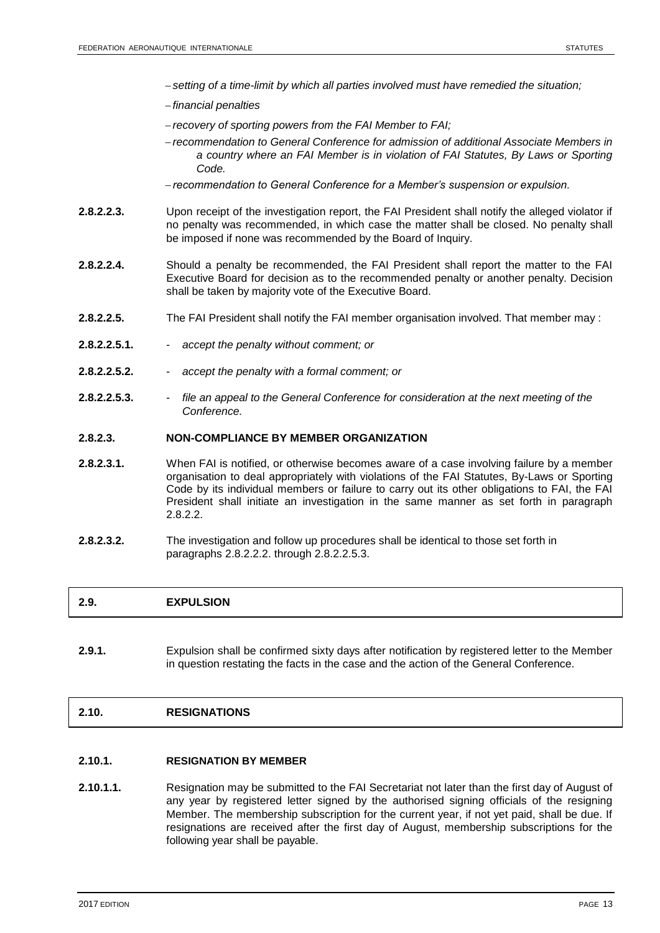- *setting of a time-limit by which all parties involved must have remedied the situation;*
- *financial penalties*
- *recovery of sporting powers from the FAI Member to FAI;*
- *recommendation to General Conference for admission of additional Associate Members in a country where an FAI Member is in violation of FAI Statutes, By Laws or Sporting Code.*
- *recommendation to General Conference for a Member's suspension or expulsion.*
- **2.8.2.2.3.** Upon receipt of the investigation report, the FAI President shall notify the alleged violator if no penalty was recommended, in which case the matter shall be closed. No penalty shall be imposed if none was recommended by the Board of Inquiry.
- **2.8.2.2.4.** Should a penalty be recommended, the FAI President shall report the matter to the FAI Executive Board for decision as to the recommended penalty or another penalty. Decision shall be taken by majority vote of the Executive Board.
- **2.8.2.2.5.** The FAI President shall notify the FAI member organisation involved. That member may :
- **2.8.2.2.5.1.** *accept the penalty without comment; or*
- **2.8.2.2.5.2.** *accept the penalty with a formal comment; or*
- **2.8.2.2.5.3.** *file an appeal to the General Conference for consideration at the next meeting of the Conference.*

### **2.8.2.3. NON-COMPLIANCE BY MEMBER ORGANIZATION**

- **2.8.2.3.1.** When FAI is notified, or otherwise becomes aware of a case involving failure by a member organisation to deal appropriately with violations of the FAI Statutes, By-Laws or Sporting Code by its individual members or failure to carry out its other obligations to FAI, the FAI President shall initiate an investigation in the same manner as set forth in paragraph 2.8.2.2.
- **2.8.2.3.2.** The investigation and follow up procedures shall be identical to those set forth in paragraphs 2.8.2.2.2. through 2.8.2.2.5.3.

### **2.9. EXPULSION**

**2.9.1.** Expulsion shall be confirmed sixty days after notification by registered letter to the Member in question restating the facts in the case and the action of the General Conference.

### **2.10. RESIGNATIONS**

### **2.10.1. RESIGNATION BY MEMBER**

**2.10.1.1.** Resignation may be submitted to the FAI Secretariat not later than the first day of August of any year by registered letter signed by the authorised signing officials of the resigning Member. The membership subscription for the current year, if not yet paid, shall be due. If resignations are received after the first day of August, membership subscriptions for the following year shall be payable.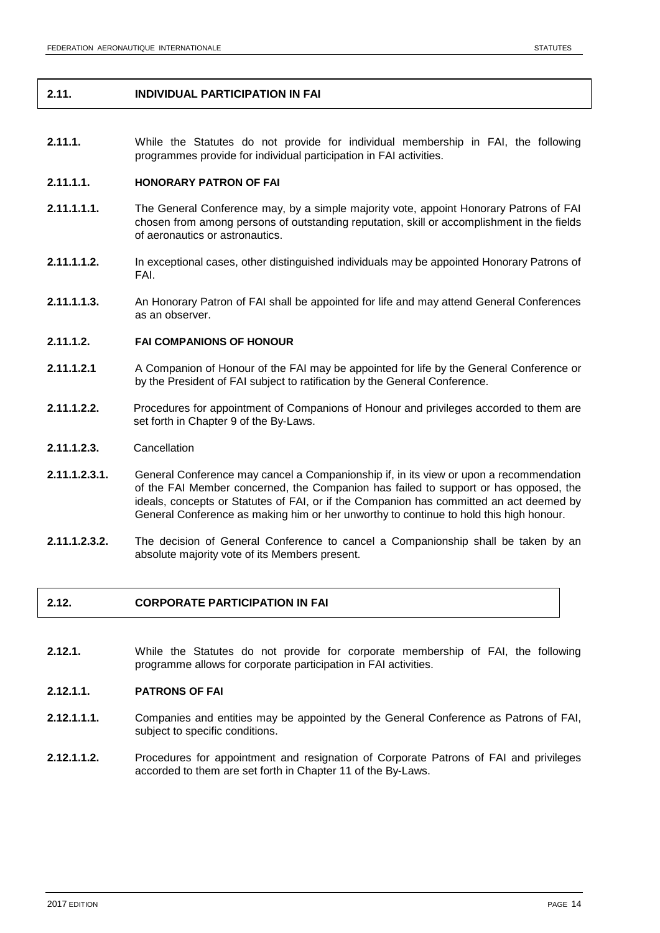### **2.11. INDIVIDUAL PARTICIPATION IN FAI**

**2.11.1.** While the Statutes do not provide for individual membership in FAI, the following programmes provide for individual participation in FAI activities.

### **2.11.1.1. HONORARY PATRON OF FAI**

- **2.11.1.1.1.** The General Conference may, by a simple majority vote, appoint Honorary Patrons of FAI chosen from among persons of outstanding reputation, skill or accomplishment in the fields of aeronautics or astronautics.
- **2.11.1.1.2.** In exceptional cases, other distinguished individuals may be appointed Honorary Patrons of FAI.
- **2.11.1.1.3.** An Honorary Patron of FAI shall be appointed for life and may attend General Conferences as an observer.

### **2.11.1.2. FAI COMPANIONS OF HONOUR**

- **2.11.1.2.1** A Companion of Honour of the FAI may be appointed for life by the General Conference or by the President of FAI subject to ratification by the General Conference.
- **2.11.1.2.2.** Procedures for appointment of Companions of Honour and privileges accorded to them are set forth in Chapter 9 of the By-Laws.
- **2.11.1.2.3.** Cancellation
- **2.11.1.2.3.1.** General Conference may cancel a Companionship if, in its view or upon a recommendation of the FAI Member concerned, the Companion has failed to support or has opposed, the ideals, concepts or Statutes of FAI, or if the Companion has committed an act deemed by General Conference as making him or her unworthy to continue to hold this high honour.
- **2.11.1.2.3.2.** The decision of General Conference to cancel a Companionship shall be taken by an absolute majority vote of its Members present.

### **2.12. CORPORATE PARTICIPATION IN FAI**

**2.12.1.** While the Statutes do not provide for corporate membership of FAI, the following programme allows for corporate participation in FAI activities.

### **2.12.1.1. PATRONS OF FAI**

- **2.12.1.1.1.** Companies and entities may be appointed by the General Conference as Patrons of FAI, subject to specific conditions.
- **2.12.1.1.2.** Procedures for appointment and resignation of Corporate Patrons of FAI and privileges accorded to them are set forth in Chapter 11 of the By-Laws.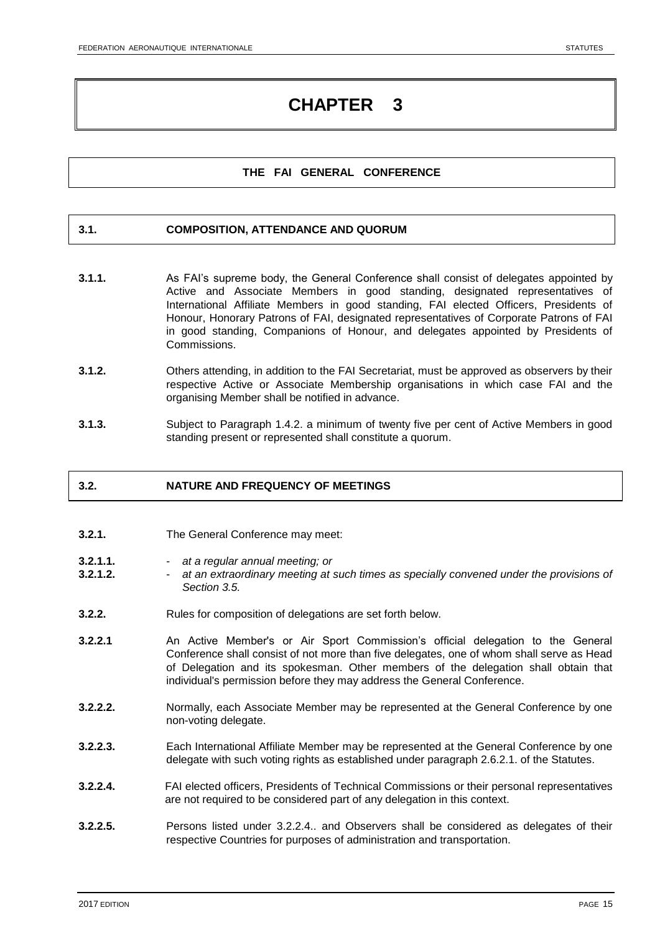### **THE FAI GENERAL CONFERENCE**

### **3.1. COMPOSITION, ATTENDANCE AND QUORUM**

- **3.1.1.** As FAI's supreme body, the General Conference shall consist of delegates appointed by Active and Associate Members in good standing, designated representatives of International Affiliate Members in good standing, FAI elected Officers, Presidents of Honour, Honorary Patrons of FAI, designated representatives of Corporate Patrons of FAI in good standing, Companions of Honour, and delegates appointed by Presidents of Commissions.
- **3.1.2.** Others attending, in addition to the FAI Secretariat, must be approved as observers by their respective Active or Associate Membership organisations in which case FAI and the organising Member shall be notified in advance.
- **3.1.3.** Subject to Paragraph 1.4.2. a minimum of twenty five per cent of Active Members in good standing present or represented shall constitute a quorum.

# **3.2. NATURE AND FREQUENCY OF MEETINGS**

- **3.2.1.** The General Conference may meet:
- **3.2.1.1.** *at a regular annual meeting; or*
- **3.2.1.2.** *at an extraordinary meeting at such times as specially convened under the provisions of Section 3.5.*
- **3.2.2.** Rules for composition of delegations are set forth below.
- **3.2.2.1** An Active Member's or Air Sport Commission's official delegation to the General Conference shall consist of not more than five delegates, one of whom shall serve as Head of Delegation and its spokesman. Other members of the delegation shall obtain that individual's permission before they may address the General Conference.
- **3.2.2.2.** Normally, each Associate Member may be represented at the General Conference by one non-voting delegate.
- **3.2.2.3.** Each International Affiliate Member may be represented at the General Conference by one delegate with such voting rights as established under paragraph 2.6.2.1. of the Statutes.
- **3.2.2.4.** FAI elected officers, Presidents of Technical Commissions or their personal representatives are not required to be considered part of any delegation in this context.
- **3.2.2.5.** Persons listed under 3.2.2.4.. and Observers shall be considered as delegates of their respective Countries for purposes of administration and transportation.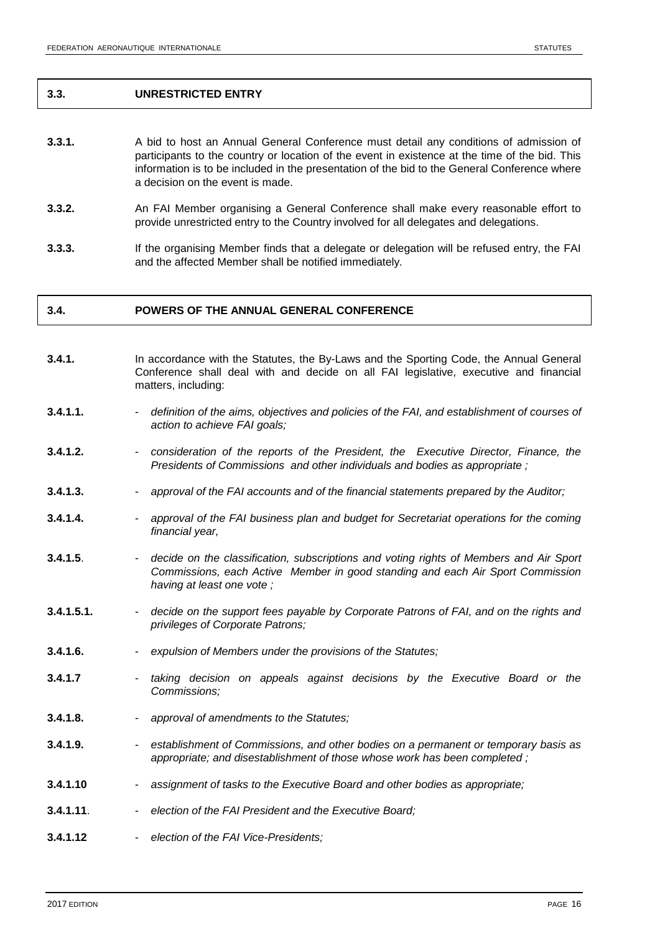### **3.3. UNRESTRICTED ENTRY**

- **3.3.1.** A bid to host an Annual General Conference must detail any conditions of admission of participants to the country or location of the event in existence at the time of the bid. This information is to be included in the presentation of the bid to the General Conference where a decision on the event is made.
- **3.3.2.** An FAI Member organising a General Conference shall make every reasonable effort to provide unrestricted entry to the Country involved for all delegates and delegations.
- **3.3.3.** If the organising Member finds that a delegate or delegation will be refused entry, the FAI and the affected Member shall be notified immediately.

# **3.4. POWERS OF THE ANNUAL GENERAL CONFERENCE**

- **3.4.1.** In accordance with the Statutes, the By-Laws and the Sporting Code, the Annual General Conference shall deal with and decide on all FAI legislative, executive and financial matters, including:
- **3.4.1.1.** *definition of the aims, objectives and policies of the FAI, and establishment of courses of action to achieve FAI goals;*
- **3.4.1.2.** *consideration of the reports of the President, the Executive Director, Finance, the Presidents of Commissions and other individuals and bodies as appropriate ;*
- **3.4.1.3.** *approval of the FAI accounts and of the financial statements prepared by the Auditor;*
- **3.4.1.4.** *approval of the FAI business plan and budget for Secretariat operations for the coming financial year,*
- **3.4.1.5**. *decide on the classification, subscriptions and voting rights of Members and Air Sport Commissions, each Active Member in good standing and each Air Sport Commission having at least one vote ;*
- **3.4.1.5.1.** *decide on the support fees payable by Corporate Patrons of FAI, and on the rights and privileges of Corporate Patrons;*
- **3.4.1.6.** *expulsion of Members under the provisions of the Statutes;*
- **3.4.1.7** *taking decision on appeals against decisions by the Executive Board or the Commissions;*
- **3.4.1.8.** *approval of amendments to the Statutes;*
- **3.4.1.9.** *establishment of Commissions, and other bodies on a permanent or temporary basis as appropriate; and disestablishment of those whose work has been completed ;*
- **3.4.1.10** *assignment of tasks to the Executive Board and other bodies as appropriate;*
- **3.4.1.11**. *election of the FAI President and the Executive Board;*
- **3.4.1.12** *election of the FAI Vice-Presidents;*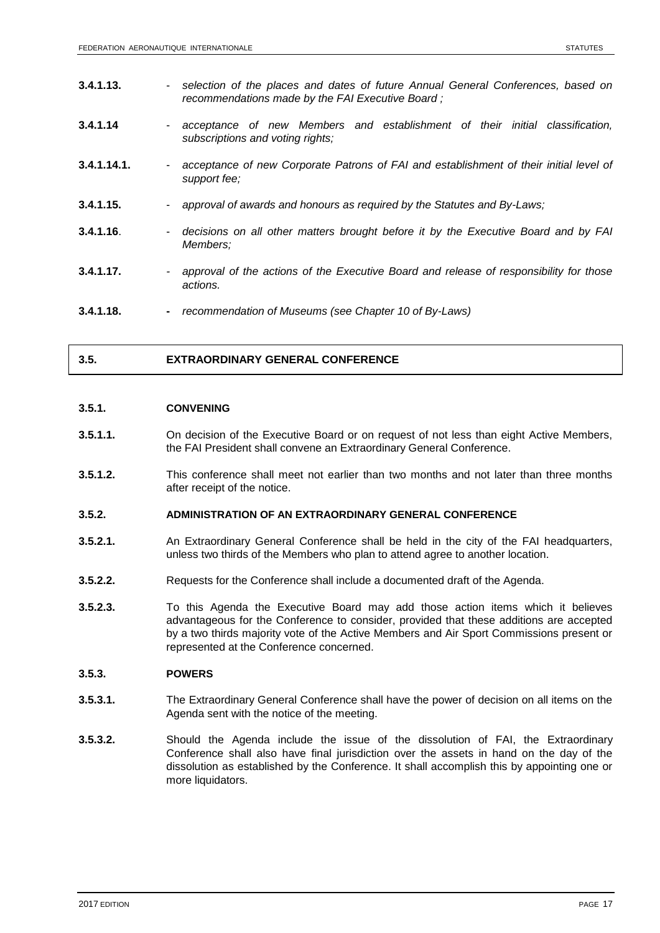| 3.4.1.13.   | $\blacksquare$ | selection of the places and dates of future Annual General Conferences, based on<br>recommendations made by the FAI Executive Board; |
|-------------|----------------|--------------------------------------------------------------------------------------------------------------------------------------|
| 3.4.1.14    | $\blacksquare$ | acceptance of new Members and establishment of their initial classification,<br>subscriptions and voting rights;                     |
| 3.4.1.14.1. | $\blacksquare$ | acceptance of new Corporate Patrons of FAI and establishment of their initial level of<br>support fee:                               |
| 3.4.1.15.   | $\sim 10$      | approval of awards and honours as required by the Statutes and By-Laws;                                                              |
| 3.4.1.16.   | ٠              | decisions on all other matters brought before it by the Executive Board and by FAI<br>Members;                                       |
| 3.4.1.17.   | $\sim$         | approval of the actions of the Executive Board and release of responsibility for those<br>actions.                                   |
| 3.4.1.18.   | $\blacksquare$ | recommendation of Museums (see Chapter 10 of By-Laws)                                                                                |

### **3.5. EXTRAORDINARY GENERAL CONFERENCE**

### **3.5.1. CONVENING**

- **3.5.1.1.** On decision of the Executive Board or on request of not less than eight Active Members, the FAI President shall convene an Extraordinary General Conference.
- **3.5.1.2.** This conference shall meet not earlier than two months and not later than three months after receipt of the notice.

### **3.5.2. ADMINISTRATION OF AN EXTRAORDINARY GENERAL CONFERENCE**

- **3.5.2.1.** An Extraordinary General Conference shall be held in the city of the FAI headquarters, unless two thirds of the Members who plan to attend agree to another location.
- **3.5.2.2.** Requests for the Conference shall include a documented draft of the Agenda.
- **3.5.2.3.** To this Agenda the Executive Board may add those action items which it believes advantageous for the Conference to consider, provided that these additions are accepted by a two thirds majority vote of the Active Members and Air Sport Commissions present or represented at the Conference concerned.

### **3.5.3. POWERS**

- **3.5.3.1.** The Extraordinary General Conference shall have the power of decision on all items on the Agenda sent with the notice of the meeting.
- **3.5.3.2.** Should the Agenda include the issue of the dissolution of FAI, the Extraordinary Conference shall also have final jurisdiction over the assets in hand on the day of the dissolution as established by the Conference. It shall accomplish this by appointing one or more liquidators.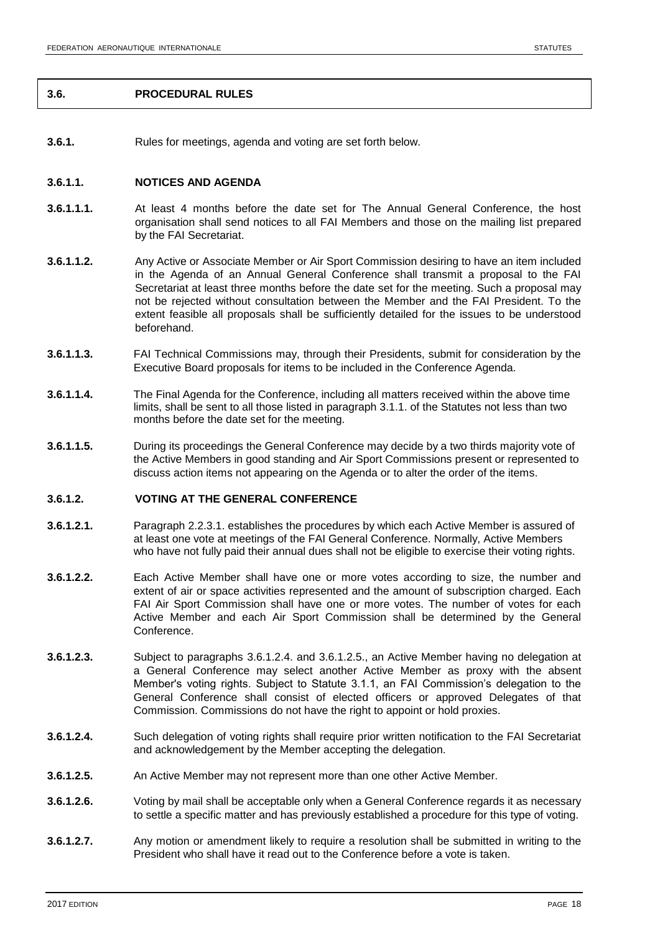### **3.6. PROCEDURAL RULES**

**3.6.1.** Rules for meetings, agenda and voting are set forth below.

### **3.6.1.1. NOTICES AND AGENDA**

- **3.6.1.1.1.** At least 4 months before the date set for The Annual General Conference, the host organisation shall send notices to all FAI Members and those on the mailing list prepared by the FAI Secretariat.
- **3.6.1.1.2.** Any Active or Associate Member or Air Sport Commission desiring to have an item included in the Agenda of an Annual General Conference shall transmit a proposal to the FAI Secretariat at least three months before the date set for the meeting. Such a proposal may not be rejected without consultation between the Member and the FAI President. To the extent feasible all proposals shall be sufficiently detailed for the issues to be understood beforehand.
- **3.6.1.1.3.** FAI Technical Commissions may, through their Presidents, submit for consideration by the Executive Board proposals for items to be included in the Conference Agenda.
- **3.6.1.1.4.** The Final Agenda for the Conference, including all matters received within the above time limits, shall be sent to all those listed in paragraph 3.1.1. of the Statutes not less than two months before the date set for the meeting.
- **3.6.1.1.5.** During its proceedings the General Conference may decide by a two thirds majority vote of the Active Members in good standing and Air Sport Commissions present or represented to discuss action items not appearing on the Agenda or to alter the order of the items.

### **3.6.1.2. VOTING AT THE GENERAL CONFERENCE**

- **3.6.1.2.1.** Paragraph 2.2.3.1. establishes the procedures by which each Active Member is assured of at least one vote at meetings of the FAI General Conference. Normally, Active Members who have not fully paid their annual dues shall not be eligible to exercise their voting rights.
- **3.6.1.2.2.** Each Active Member shall have one or more votes according to size, the number and extent of air or space activities represented and the amount of subscription charged. Each FAI Air Sport Commission shall have one or more votes. The number of votes for each Active Member and each Air Sport Commission shall be determined by the General Conference.
- **3.6.1.2.3.** Subject to paragraphs 3.6.1.2.4. and 3.6.1.2.5., an Active Member having no delegation at a General Conference may select another Active Member as proxy with the absent Member's voting rights. Subject to Statute 3.1.1, an FAI Commission's delegation to the General Conference shall consist of elected officers or approved Delegates of that Commission. Commissions do not have the right to appoint or hold proxies.
- **3.6.1.2.4.** Such delegation of voting rights shall require prior written notification to the FAI Secretariat and acknowledgement by the Member accepting the delegation.
- **3.6.1.2.5.** An Active Member may not represent more than one other Active Member.
- **3.6.1.2.6.** Voting by mail shall be acceptable only when a General Conference regards it as necessary to settle a specific matter and has previously established a procedure for this type of voting.
- **3.6.1.2.7.** Any motion or amendment likely to require a resolution shall be submitted in writing to the President who shall have it read out to the Conference before a vote is taken.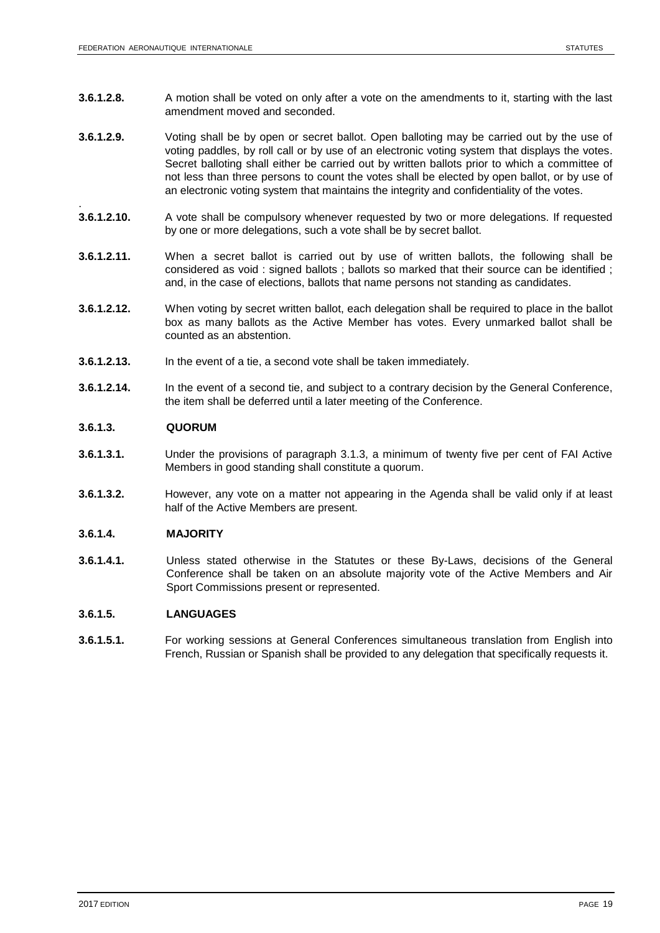- **3.6.1.2.8.** A motion shall be voted on only after a vote on the amendments to it, starting with the last amendment moved and seconded.
- **3.6.1.2.9.** Voting shall be by open or secret ballot. Open balloting may be carried out by the use of voting paddles, by roll call or by use of an electronic voting system that displays the votes. Secret balloting shall either be carried out by written ballots prior to which a committee of not less than three persons to count the votes shall be elected by open ballot, or by use of an electronic voting system that maintains the integrity and confidentiality of the votes.
- 3.6.1.2.10. **3.6.1.2.10.** A vote shall be compulsory whenever requested by two or more delegations. If requested by one or more delegations, such a vote shall be by secret ballot.
- **3.6.1.2.11.** When a secret ballot is carried out by use of written ballots, the following shall be considered as void : signed ballots ; ballots so marked that their source can be identified ; and, in the case of elections, ballots that name persons not standing as candidates.
- **3.6.1.2.12.** When voting by secret written ballot, each delegation shall be required to place in the ballot box as many ballots as the Active Member has votes. Every unmarked ballot shall be counted as an abstention.
- **3.6.1.2.13.** In the event of a tie, a second vote shall be taken immediately.
- **3.6.1.2.14.** In the event of a second tie, and subject to a contrary decision by the General Conference, the item shall be deferred until a later meeting of the Conference.

### **3.6.1.3. QUORUM**

- **3.6.1.3.1.** Under the provisions of paragraph 3.1.3, a minimum of twenty five per cent of FAI Active Members in good standing shall constitute a quorum.
- **3.6.1.3.2.** However, any vote on a matter not appearing in the Agenda shall be valid only if at least half of the Active Members are present.

### **3.6.1.4. MAJORITY**

**3.6.1.4.1.** Unless stated otherwise in the Statutes or these By-Laws, decisions of the General Conference shall be taken on an absolute majority vote of the Active Members and Air Sport Commissions present or represented.

### **3.6.1.5. LANGUAGES**

**3.6.1.5.1.** For working sessions at General Conferences simultaneous translation from English into French, Russian or Spanish shall be provided to any delegation that specifically requests it.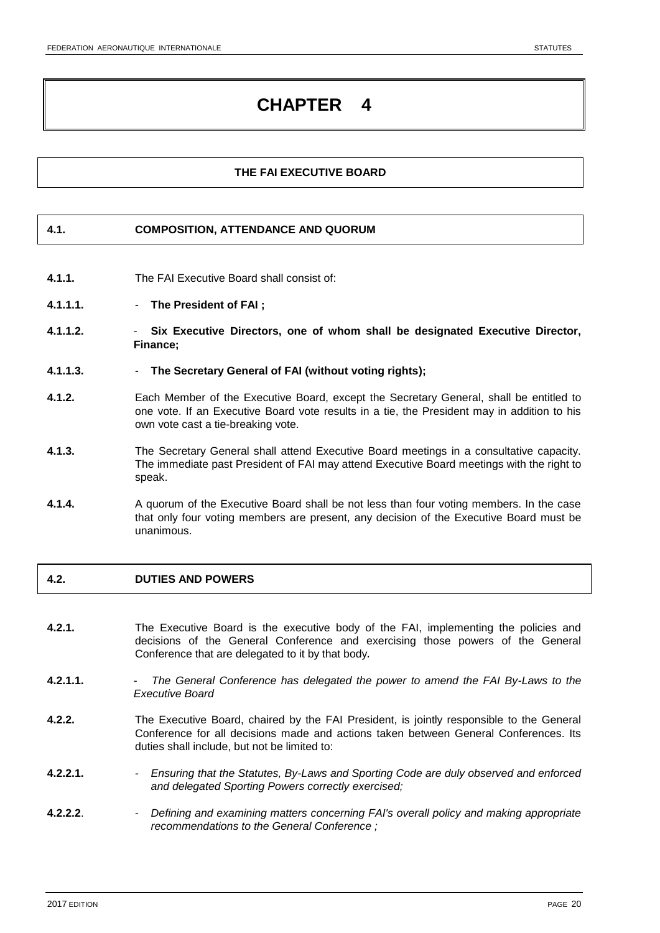# **THE FAI EXECUTIVE BOARD**

### **4.1. COMPOSITION, ATTENDANCE AND QUORUM**

- **4.1.1.** The FAI Executive Board shall consist of:
- **4.1.1.1. The President of FAI ;**
- **4.1.1.2. Six Executive Directors, one of whom shall be designated Executive Director, Finance;**
- **4.1.1.3. The Secretary General of FAI (without voting rights);**
- **4.1.2.** Each Member of the Executive Board, except the Secretary General, shall be entitled to one vote. If an Executive Board vote results in a tie, the President may in addition to his own vote cast a tie-breaking vote.
- **4.1.3.** The Secretary General shall attend Executive Board meetings in a consultative capacity. The immediate past President of FAI may attend Executive Board meetings with the right to speak.
- **4.1.4.** A quorum of the Executive Board shall be not less than four voting members. In the case that only four voting members are present, any decision of the Executive Board must be unanimous.

# **4.2. DUTIES AND POWERS**

- **4.2.1.** The Executive Board is the executive body of the FAI, implementing the policies and decisions of the General Conference and exercising those powers of the General Conference that are delegated to it by that body*.*
- **4.2.1.1.** *The General Conference has delegated the power to amend the FAI By-Laws to the Executive Board*
- **4.2.2.** The Executive Board, chaired by the FAI President, is jointly responsible to the General Conference for all decisions made and actions taken between General Conferences. Its duties shall include, but not be limited to:
- **4.2.2.1.** *Ensuring that the Statutes, By-Laws and Sporting Code are duly observed and enforced and delegated Sporting Powers correctly exercised;*
- **4.2.2.2**. *Defining and examining matters concerning FAI's overall policy and making appropriate recommendations to the General Conference ;*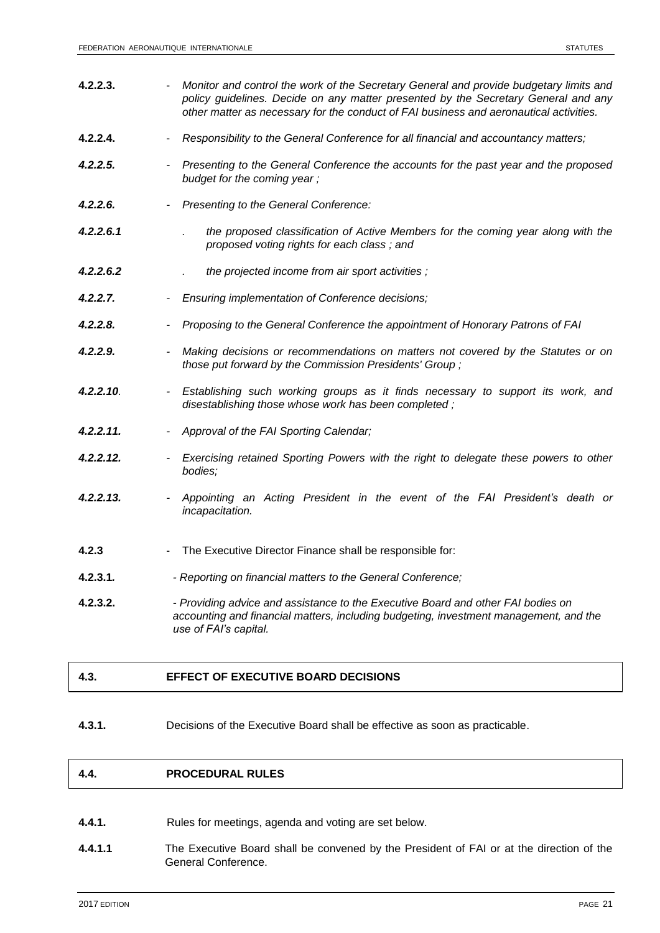**4.2.2.3.** - *Monitor and control the work of the Secretary General and provide budgetary limits and policy guidelines. Decide on any matter presented by the Secretary General and any other matter as necessary for the conduct of FAI business and aeronautical activities.* **4.2.2.4.** - *Responsibility to the General Conference for all financial and accountancy matters; 4.2.2.5. - Presenting to the General Conference the accounts for the past year and the proposed budget for the coming year ; 4.2.2.6. - Presenting to the General Conference: 4.2.2.6.1 . the proposed classification of Active Members for the coming year along with the proposed voting rights for each class ; and 4.2.2.6.2 . the projected income from air sport activities ; 4.2.2.7. - Ensuring implementation of Conference decisions; 4.2.2.8. - Proposing to the General Conference the appointment of Honorary Patrons of FAI 4.2.2.9. - Making decisions or recommendations on matters not covered by the Statutes or on those put forward by the Commission Presidents' Group ; 4.2.2.10. - Establishing such working groups as it finds necessary to support its work, and disestablishing those whose work has been completed ; 4.2.2.11. - Approval of the FAI Sporting Calendar; 4.2.2.12. - Exercising retained Sporting Powers with the right to delegate these powers to other bodies; 4.2.2.13. - Appointing an Acting President in the event of the FAI President's death or incapacitation.* **4.2.3** - The Executive Director Finance shall be responsible for: **4.2.3.1***. - Reporting on financial matters to the General Conference;* **4.2.3.2.** *- Providing advice and assistance to the Executive Board and other FAI bodies on accounting and financial matters, including budgeting, investment management, and the use of FAI's capital.* 

# **4.3. EFFECT OF EXECUTIVE BOARD DECISIONS**

**4.3.1.** Decisions of the Executive Board shall be effective as soon as practicable.

### **4.4. PROCEDURAL RULES**

- **4.4.1.** Rules for meetings, agenda and voting are set below.
- **4.4.1.1** The Executive Board shall be convened by the President of FAI or at the direction of the General Conference.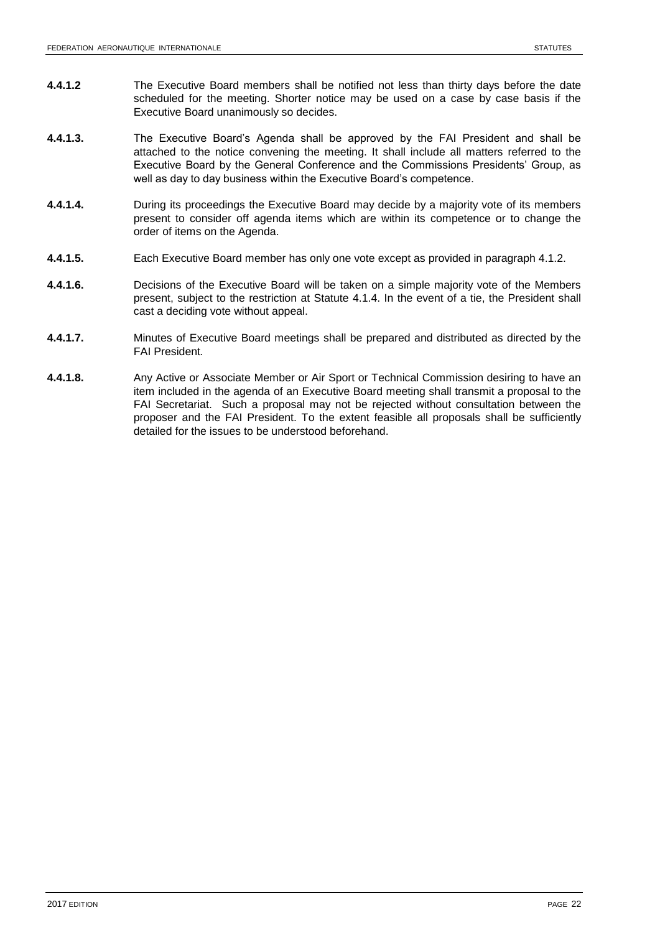- **4.4.1.2** The Executive Board members shall be notified not less than thirty days before the date scheduled for the meeting. Shorter notice may be used on a case by case basis if the Executive Board unanimously so decides.
- **4.4.1.3.** The Executive Board's Agenda shall be approved by the FAI President and shall be attached to the notice convening the meeting. It shall include all matters referred to the Executive Board by the General Conference and the Commissions Presidents' Group, as well as day to day business within the Executive Board's competence.
- **4.4.1.4.** During its proceedings the Executive Board may decide by a majority vote of its members present to consider off agenda items which are within its competence or to change the order of items on the Agenda.
- **4.4.1.5.** Each Executive Board member has only one vote except as provided in paragraph 4.1.2.
- **4.4.1.6.** Decisions of the Executive Board will be taken on a simple majority vote of the Members present, subject to the restriction at Statute 4.1.4. In the event of a tie, the President shall cast a deciding vote without appeal.
- **4.4.1.7.** Minutes of Executive Board meetings shall be prepared and distributed as directed by the FAI President*.*
- **4.4.1.8.** Any Active or Associate Member or Air Sport or Technical Commission desiring to have an item included in the agenda of an Executive Board meeting shall transmit a proposal to the FAI Secretariat. Such a proposal may not be rejected without consultation between the proposer and the FAI President. To the extent feasible all proposals shall be sufficiently detailed for the issues to be understood beforehand.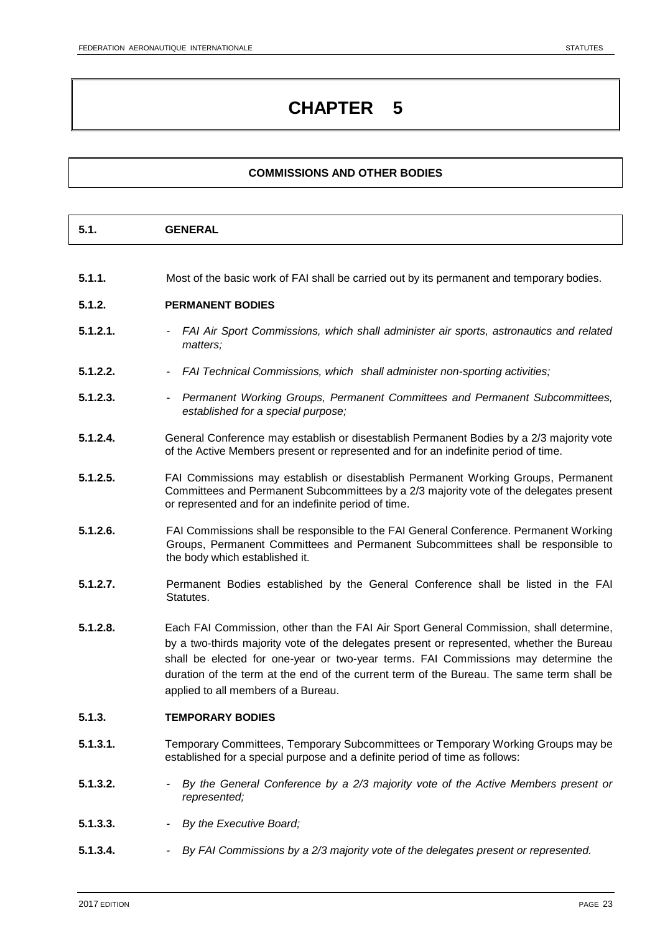# **COMMISSIONS AND OTHER BODIES**

| - 4<br><b>GENERAL</b><br>. b. l |
|---------------------------------|
|---------------------------------|

**5.1.1.** Most of the basic work of FAI shall be carried out by its permanent and temporary bodies.

### **5.1.2. PERMANENT BODIES**

- **5.1.2.1.** *- FAI Air Sport Commissions, which shall administer air sports, astronautics and related matters;*
- **5.1.2.2.** *- FAI Technical Commissions, which shall administer non-sporting activities;*
- **5.1.2.3.** *- Permanent Working Groups, Permanent Committees and Permanent Subcommittees, established for a special purpose;*
- **5.1.2.4.** General Conference may establish or disestablish Permanent Bodies by a 2/3 majority vote of the Active Members present or represented and for an indefinite period of time.
- **5.1.2.5.** FAI Commissions may establish or disestablish Permanent Working Groups, Permanent Committees and Permanent Subcommittees by a 2/3 majority vote of the delegates present or represented and for an indefinite period of time.
- **5.1.2.6.** FAI Commissions shall be responsible to the FAI General Conference. Permanent Working Groups, Permanent Committees and Permanent Subcommittees shall be responsible to the body which established it.
- **5.1.2.7.** Permanent Bodies established by the General Conference shall be listed in the FAI Statutes.
- **5.1.2.8.** Each FAI Commission, other than the FAI Air Sport General Commission, shall determine, by a two-thirds majority vote of the delegates present or represented, whether the Bureau shall be elected for one-year or two-year terms. FAI Commissions may determine the duration of the term at the end of the current term of the Bureau. The same term shall be applied to all members of a Bureau.

### **5.1.3. TEMPORARY BODIES**

- **5.1.3.1.** Temporary Committees, Temporary Subcommittees or Temporary Working Groups may be established for a special purpose and a definite period of time as follows:
- **5.1.3.2.** *- By the General Conference by a 2/3 majority vote of the Active Members present or represented;*
- **5.1.3.3.** *- By the Executive Board;*
- **5.1.3.4.** *- By FAI Commissions by a 2/3 majority vote of the delegates present or represented.*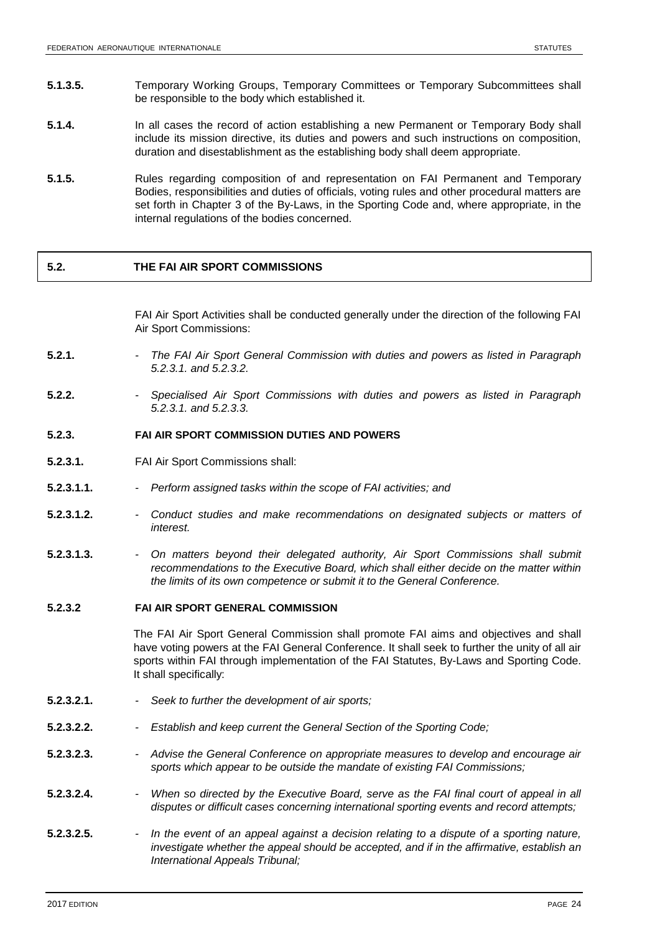- **5.1.3.5.** Temporary Working Groups, Temporary Committees or Temporary Subcommittees shall be responsible to the body which established it.
- **5.1.4.** In all cases the record of action establishing a new Permanent or Temporary Body shall include its mission directive, its duties and powers and such instructions on composition, duration and disestablishment as the establishing body shall deem appropriate.
- **5.1.5.** Rules regarding composition of and representation on FAI Permanent and Temporary Bodies, responsibilities and duties of officials, voting rules and other procedural matters are set forth in Chapter 3 of the By-Laws, in the Sporting Code and, where appropriate, in the internal regulations of the bodies concerned.

### **5.2. THE FAI AIR SPORT COMMISSIONS**

FAI Air Sport Activities shall be conducted generally under the direction of the following FAI Air Sport Commissions:

- **5.2.1.** *- The FAI Air Sport General Commission with duties and powers as listed in Paragraph 5.2.3.1. and 5.2.3.2.*
- **5.2.2.** *- Specialised Air Sport Commissions with duties and powers as listed in Paragraph 5.2.3.1. and 5.2.3.3.*

### **5.2.3. FAI AIR SPORT COMMISSION DUTIES AND POWERS**

- **5.2.3.1.** FAI Air Sport Commissions shall:
- **5.2.3.1.1.** *- Perform assigned tasks within the scope of FAI activities; and*
- **5.2.3.1.2.** *- Conduct studies and make recommendations on designated subjects or matters of interest.*
- **5.2.3.1.3.** *- On matters beyond their delegated authority, Air Sport Commissions shall submit recommendations to the Executive Board, which shall either decide on the matter within the limits of its own competence or submit it to the General Conference.*

#### **5.2.3.2 FAI AIR SPORT GENERAL COMMISSION**

The FAI Air Sport General Commission shall promote FAI aims and objectives and shall have voting powers at the FAI General Conference. It shall seek to further the unity of all air sports within FAI through implementation of the FAI Statutes, By-Laws and Sporting Code. It shall specifically:

- **5.2.3.2.1.** *- Seek to further the development of air sports;*
- **5.2.3.2.2.** *- Establish and keep current the General Section of the Sporting Code;*
- **5.2.3.2.3.** *- Advise the General Conference on appropriate measures to develop and encourage air sports which appear to be outside the mandate of existing FAI Commissions;*
- **5.2.3.2.4.** *- When so directed by the Executive Board, serve as the FAI final court of appeal in all disputes or difficult cases concerning international sporting events and record attempts;*
- **5.2.3.2.5.** *- In the event of an appeal against a decision relating to a dispute of a sporting nature, investigate whether the appeal should be accepted, and if in the affirmative, establish an International Appeals Tribunal;*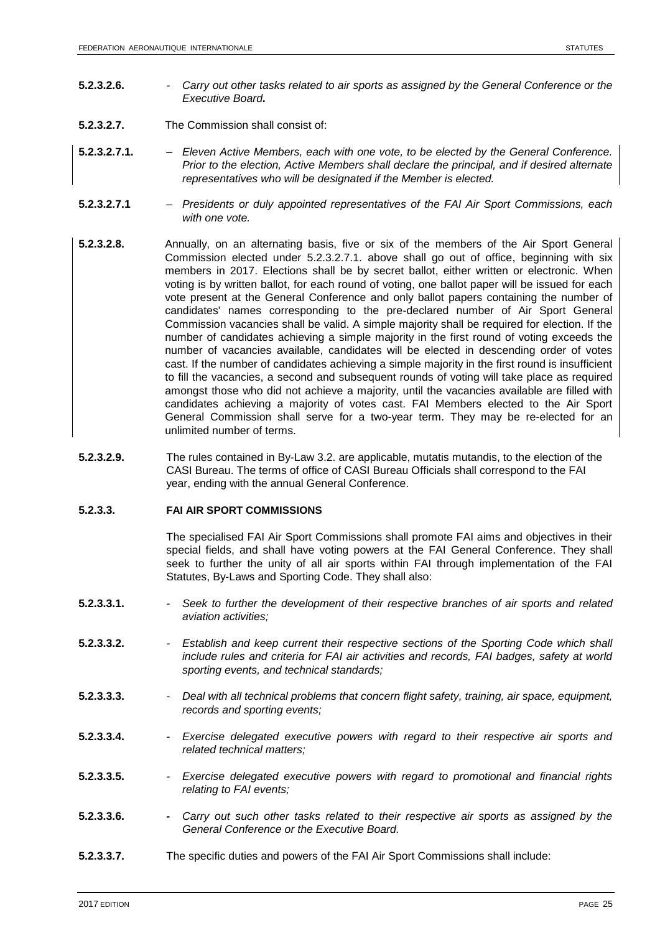- **5.2.3.2.6.** *- Carry out other tasks related to air sports as assigned by the General Conference or the Executive Board.*
- **5.2.3.2.7.** The Commission shall consist of:
- **5.2.3.2.7.1.** *– Eleven Active Members, each with one vote, to be elected by the General Conference. Prior to the election, Active Members shall declare the principal, and if desired alternate representatives who will be designated if the Member is elected.*
- **5.2.3.2.7.1** *– Presidents or duly appointed representatives of the FAI Air Sport Commissions, each with one vote.*
- **5.2.3.2.8.** Annually, on an alternating basis, five or six of the members of the Air Sport General Commission elected under 5.2.3.2.7.1. above shall go out of office, beginning with six members in 2017. Elections shall be by secret ballot, either written or electronic. When voting is by written ballot, for each round of voting, one ballot paper will be issued for each vote present at the General Conference and only ballot papers containing the number of candidates' names corresponding to the pre-declared number of Air Sport General Commission vacancies shall be valid. A simple majority shall be required for election. If the number of candidates achieving a simple majority in the first round of voting exceeds the number of vacancies available, candidates will be elected in descending order of votes cast. If the number of candidates achieving a simple majority in the first round is insufficient to fill the vacancies, a second and subsequent rounds of voting will take place as required amongst those who did not achieve a majority, until the vacancies available are filled with candidates achieving a majority of votes cast. FAI Members elected to the Air Sport General Commission shall serve for a two-year term. They may be re-elected for an unlimited number of terms.
- **5.2.3.2.9.** The rules contained in By-Law 3.2. are applicable, mutatis mutandis, to the election of the CASI Bureau. The terms of office of CASI Bureau Officials shall correspond to the FAI year, ending with the annual General Conference.

### **5.2.3.3. FAI AIR SPORT COMMISSIONS**

The specialised FAI Air Sport Commissions shall promote FAI aims and objectives in their special fields, and shall have voting powers at the FAI General Conference. They shall seek to further the unity of all air sports within FAI through implementation of the FAI Statutes, By-Laws and Sporting Code. They shall also:

- **5.2.3.3.1.** *- Seek to further the development of their respective branches of air sports and related aviation activities;*
- **5.2.3.3.2.** *- Establish and keep current their respective sections of the Sporting Code which shall include rules and criteria for FAI air activities and records, FAI badges, safety at world sporting events, and technical standards;*
- **5.2.3.3.3.** *- Deal with all technical problems that concern flight safety, training, air space, equipment, records and sporting events;*
- **5.2.3.3.4.** *- Exercise delegated executive powers with regard to their respective air sports and related technical matters;*
- **5.2.3.3.5.** *- Exercise delegated executive powers with regard to promotional and financial rights relating to FAI events;*
- **5.2.3.3.6.** *- Carry out such other tasks related to their respective air sports as assigned by the General Conference or the Executive Board.*
- **5.2.3.3.7.** The specific duties and powers of the FAI Air Sport Commissions shall include: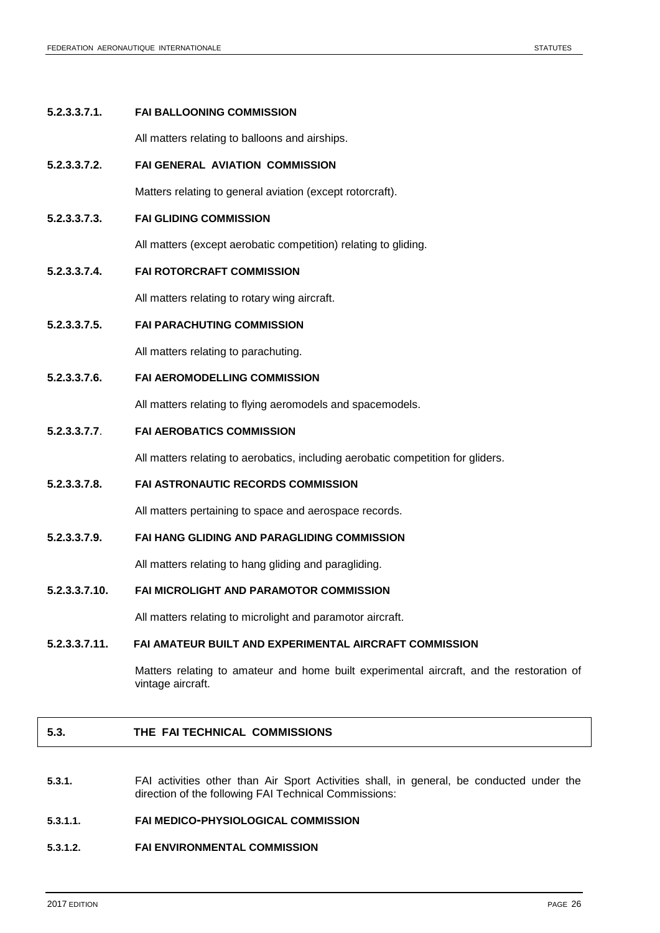#### **5.2.3.3.7.1. FAI BALLOONING COMMISSION**

All matters relating to balloons and airships.

#### **5.2.3.3.7.2. FAI GENERAL AVIATION COMMISSION**

Matters relating to general aviation (except rotorcraft).

**5.2.3.3.7.3. FAI GLIDING COMMISSION**

All matters (except aerobatic competition) relating to gliding.

**5.2.3.3.7.4. FAI ROTORCRAFT COMMISSION**

All matters relating to rotary wing aircraft.

**5.2.3.3.7.5. FAI PARACHUTING COMMISSION**

All matters relating to parachuting.

**5.2.3.3.7.6. FAI AEROMODELLING COMMISSION**

All matters relating to flying aeromodels and spacemodels.

### **5.2.3.3.7.7**. **FAI AEROBATICS COMMISSION**

All matters relating to aerobatics, including aerobatic competition for gliders.

**5.2.3.3.7.8. FAI ASTRONAUTIC RECORDS COMMISSION**

All matters pertaining to space and aerospace records.

**5.2.3.3.7.9. FAI HANG GLIDING AND PARAGLIDING COMMISSION**

All matters relating to hang gliding and paragliding.

### **5.2.3.3.7.10. FAI MICROLIGHT AND PARAMOTOR COMMISSION**

All matters relating to microlight and paramotor aircraft.

#### **5.2.3.3.7.11. FAI AMATEUR BUILT AND EXPERIMENTAL AIRCRAFT COMMISSION**

Matters relating to amateur and home built experimental aircraft, and the restoration of vintage aircraft.

### **5.3. THE FAI TECHNICAL COMMISSIONS**

**5.3.1.** FAI activities other than Air Sport Activities shall, in general, be conducted under the direction of the following FAI Technical Commissions:

### **5.3.1.1. FAI MEDICO-PHYSIOLOGICAL COMMISSION**

### **5.3.1.2. FAI ENVIRONMENTAL COMMISSION**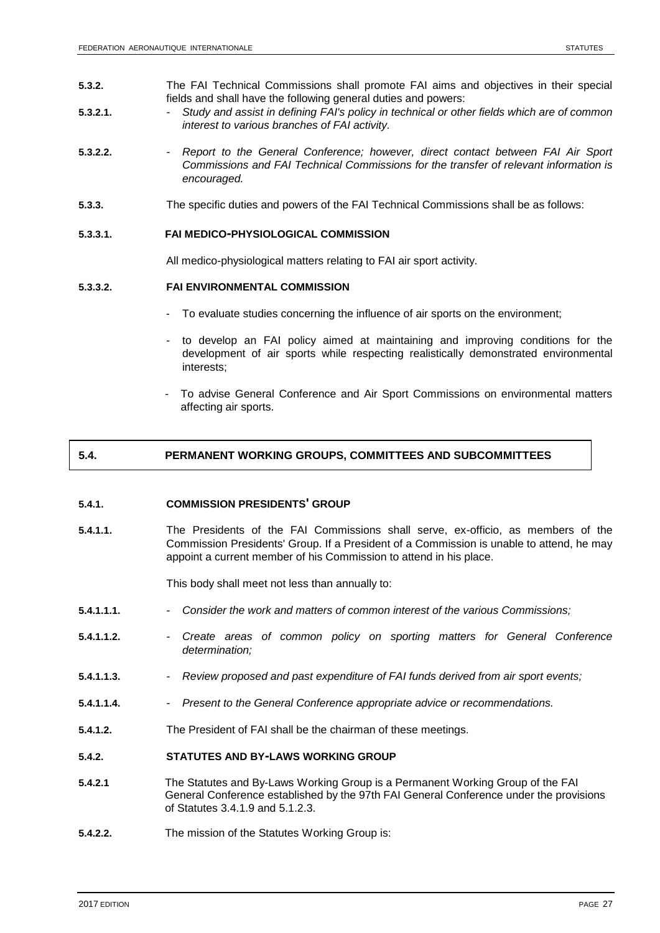- **5.3.2.** The FAI Technical Commissions shall promote FAI aims and objectives in their special fields and shall have the following general duties and powers:
- **5.3.2.1.** *- Study and assist in defining FAI's policy in technical or other fields which are of common interest to various branches of FAI activity.*
- **5.3.2.2.** *- Report to the General Conference; however, direct contact between FAI Air Sport Commissions and FAI Technical Commissions for the transfer of relevant information is encouraged.*
- **5.3.3.** The specific duties and powers of the FAI Technical Commissions shall be as follows:

#### **5.3.3.1. FAI MEDICO-PHYSIOLOGICAL COMMISSION**

All medico-physiological matters relating to FAI air sport activity.

### **5.3.3.2. FAI ENVIRONMENTAL COMMISSION**

- To evaluate studies concerning the influence of air sports on the environment;
- to develop an FAI policy aimed at maintaining and improving conditions for the development of air sports while respecting realistically demonstrated environmental interests;
- To advise General Conference and Air Sport Commissions on environmental matters affecting air sports.

### **5.4. PERMANENT WORKING GROUPS, COMMITTEES AND SUBCOMMITTEES**

#### **5.4.1. COMMISSION PRESIDENTS' GROUP**

**5.4.1.1.** The Presidents of the FAI Commissions shall serve, ex-officio, as members of the Commission Presidents' Group. If a President of a Commission is unable to attend, he may appoint a current member of his Commission to attend in his place.

This body shall meet not less than annually to:

- **5.4.1.1.1.** *- Consider the work and matters of common interest of the various Commissions;*
- **5.4.1.1.2.** *- Create areas of common policy on sporting matters for General Conference determination;*
- **5.4.1.1.3.** *- Review proposed and past expenditure of FAI funds derived from air sport events;*
- **5.4.1.1.4.** *- Present to the General Conference appropriate advice or recommendations.*
- **5.4.1.2.** The President of FAI shall be the chairman of these meetings.

#### **5.4.2. STATUTES AND BY-LAWS WORKING GROUP**

- **5.4.2.1** The Statutes and By-Laws Working Group is a Permanent Working Group of the FAI General Conference established by the 97th FAI General Conference under the provisions of Statutes 3.4.1.9 and 5.1.2.3.
- **5.4.2.2.** The mission of the Statutes Working Group is: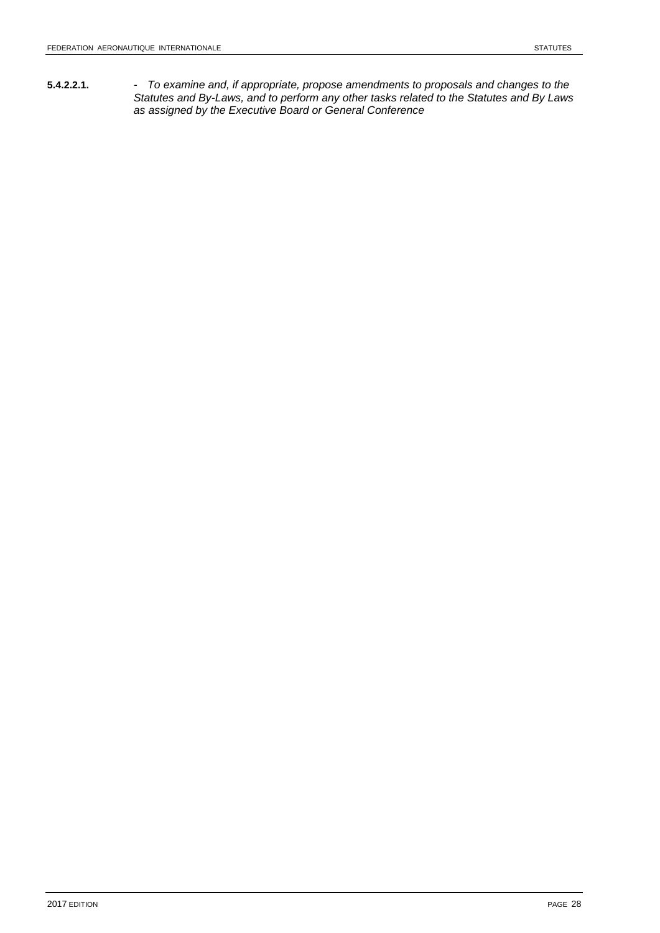**5.4.2.2.1.** *- To examine and, if appropriate, propose amendments to proposals and changes to the Statutes and By-Laws, and to perform any other tasks related to the Statutes and By Laws as assigned by the Executive Board or General Conference*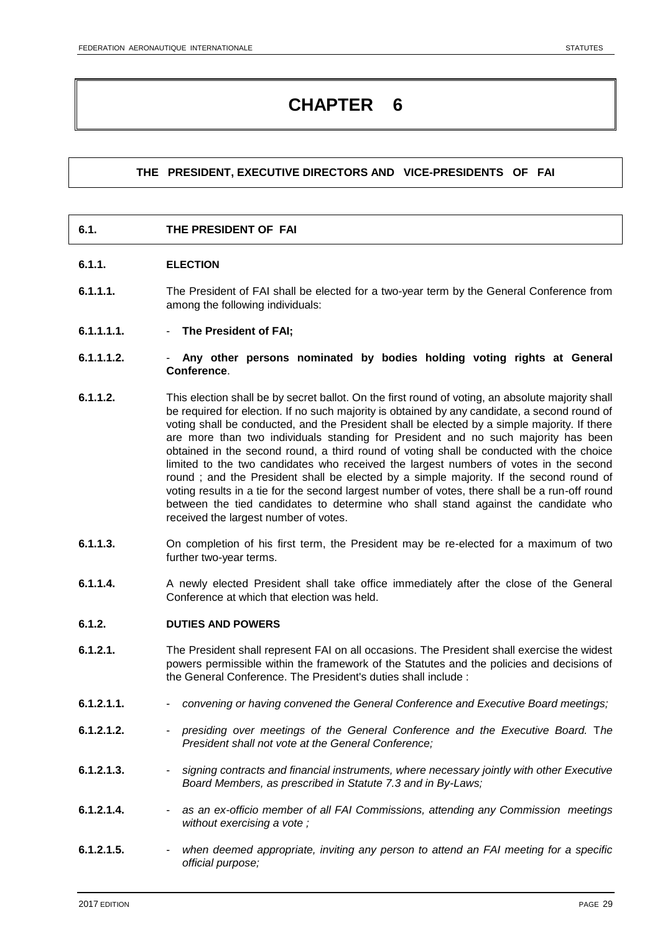# **THE PRESIDENT, EXECUTIVE DIRECTORS AND VICE-PRESIDENTS OF FAI**

# **6.1. THE PRESIDENT OF FAI**

### **6.1.1. ELECTION**

- **6.1.1.1.** The President of FAI shall be elected for a two-year term by the General Conference from among the following individuals:
- **6.1.1.1.1. The President of FAI;**
- **6.1.1.1.2. Any other persons nominated by bodies holding voting rights at General Conference**.
- **6.1.1.2.** This election shall be by secret ballot. On the first round of voting, an absolute majority shall be required for election. If no such majority is obtained by any candidate, a second round of voting shall be conducted, and the President shall be elected by a simple majority. If there are more than two individuals standing for President and no such majority has been obtained in the second round, a third round of voting shall be conducted with the choice limited to the two candidates who received the largest numbers of votes in the second round ; and the President shall be elected by a simple majority. If the second round of voting results in a tie for the second largest number of votes, there shall be a run-off round between the tied candidates to determine who shall stand against the candidate who received the largest number of votes.
- **6.1.1.3.** On completion of his first term, the President may be re-elected for a maximum of two further two-year terms.
- **6.1.1.4.** A newly elected President shall take office immediately after the close of the General Conference at which that election was held.

### **6.1.2. DUTIES AND POWERS**

- **6.1.2.1.** The President shall represent FAI on all occasions. The President shall exercise the widest powers permissible within the framework of the Statutes and the policies and decisions of the General Conference. The President's duties shall include :
- **6.1.2.1.1.** *convening or having convened the General Conference and Executive Board meetings;*
- **6.1.2.1.2.** *presiding over meetings of the General Conference and the Executive Board.* T*he President shall not vote at the General Conference;*
- **6.1.2.1.3.** *signing contracts and financial instruments, where necessary jointly with other Executive Board Members, as prescribed in Statute 7.3 and in By-Laws;*
- **6.1.2.1.4.** *as an ex-officio member of all FAI Commissions, attending any Commission meetings without exercising a vote ;*
- **6.1.2.1.5.** *when deemed appropriate, inviting any person to attend an FAI meeting for a specific official purpose;*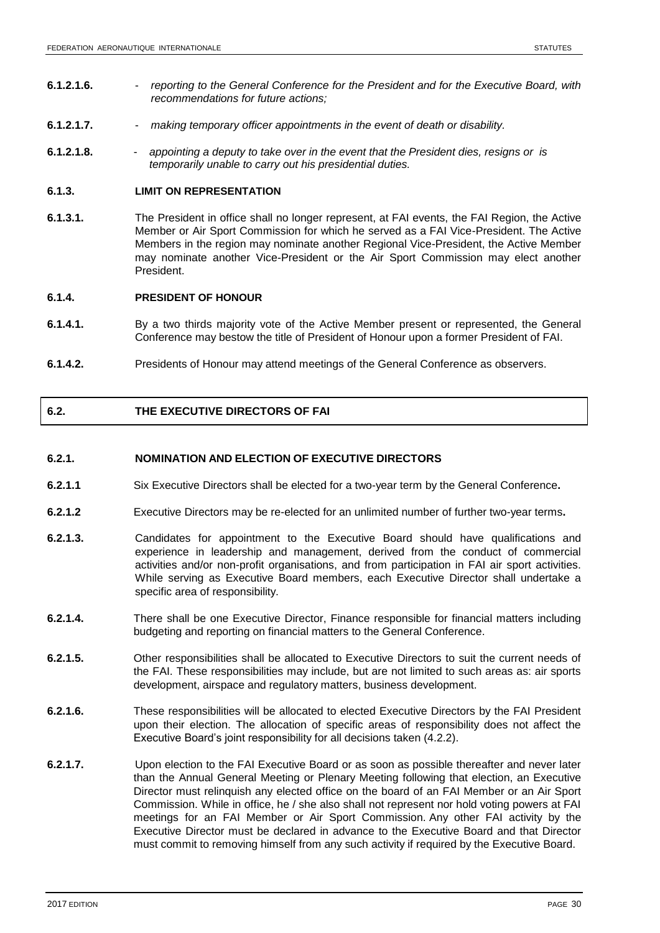- **6.1.2.1.6.** *reporting to the General Conference for the President and for the Executive Board, with recommendations for future actions;*
- **6.1.2.1.7.** *making temporary officer appointments in the event of death or disability.*
- **6.1.2.1.8.** *appointing a deputy to take over in the event that the President dies, resigns or is temporarily unable to carry out his presidential duties.*

### **6.1.3. LIMIT ON REPRESENTATION**

**6.1.3.1.** The President in office shall no longer represent, at FAI events, the FAI Region, the Active Member or Air Sport Commission for which he served as a FAI Vice-President. The Active Members in the region may nominate another Regional Vice-President, the Active Member may nominate another Vice-President or the Air Sport Commission may elect another President.

# **6.1.4. PRESIDENT OF HONOUR**

- **6.1.4.1.** By a two thirds majority vote of the Active Member present or represented, the General Conference may bestow the title of President of Honour upon a former President of FAI.
- **6.1.4.2.** Presidents of Honour may attend meetings of the General Conference as observers.

### **6.2. THE EXECUTIVE DIRECTORS OF FAI**

### **6.2.1. NOMINATION AND ELECTION OF EXECUTIVE DIRECTORS**

- **6.2.1.1** Six Executive Directors shall be elected for a two-year term by the General Conference**.**
- **6.2.1.2** Executive Directors may be re-elected for an unlimited number of further two-year terms**.**
- **6.2.1.3.** Candidates for appointment to the Executive Board should have qualifications and experience in leadership and management, derived from the conduct of commercial activities and/or non-profit organisations, and from participation in FAI air sport activities. While serving as Executive Board members, each Executive Director shall undertake a specific area of responsibility.
- **6.2.1.4.** There shall be one Executive Director, Finance responsible for financial matters including budgeting and reporting on financial matters to the General Conference.
- **6.2.1.5.** Other responsibilities shall be allocated to Executive Directors to suit the current needs of the FAI. These responsibilities may include, but are not limited to such areas as: air sports development, airspace and regulatory matters, business development.
- **6.2.1.6.** These responsibilities will be allocated to elected Executive Directors by the FAI President upon their election. The allocation of specific areas of responsibility does not affect the Executive Board's joint responsibility for all decisions taken (4.2.2).
- **6.2.1.7.** Upon election to the FAI Executive Board or as soon as possible thereafter and never later than the Annual General Meeting or Plenary Meeting following that election, an Executive Director must relinquish any elected office on the board of an FAI Member or an Air Sport Commission. While in office, he / she also shall not represent nor hold voting powers at FAI meetings for an FAI Member or Air Sport Commission. Any other FAI activity by the Executive Director must be declared in advance to the Executive Board and that Director must commit to removing himself from any such activity if required by the Executive Board.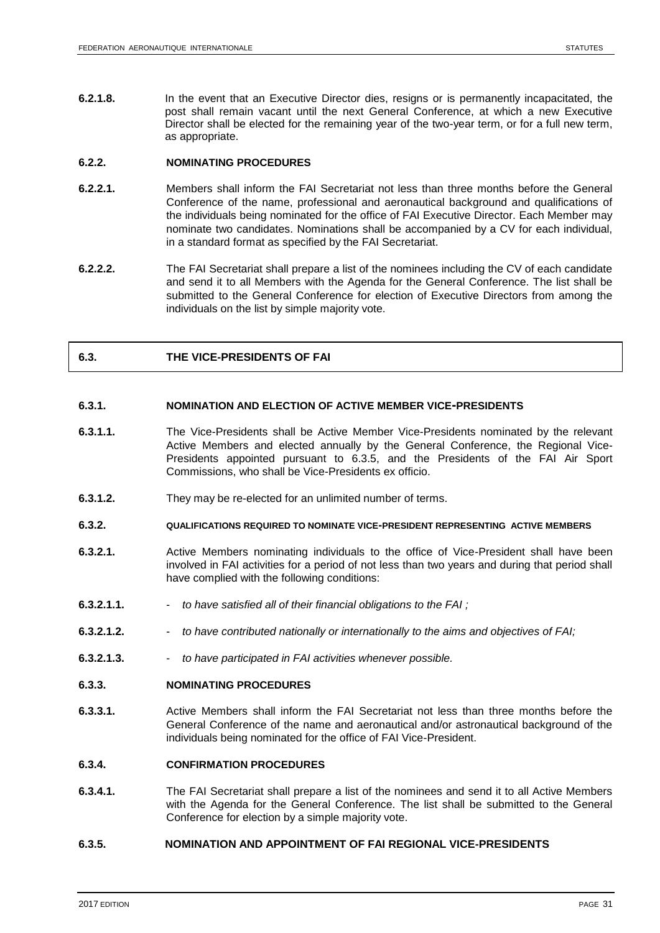**6.2.1.8.** In the event that an Executive Director dies, resigns or is permanently incapacitated, the post shall remain vacant until the next General Conference, at which a new Executive Director shall be elected for the remaining year of the two-year term, or for a full new term, as appropriate.

### **6.2.2. NOMINATING PROCEDURES**

- **6.2.2.1.** Members shall inform the FAI Secretariat not less than three months before the General Conference of the name, professional and aeronautical background and qualifications of the individuals being nominated for the office of FAI Executive Director. Each Member may nominate two candidates. Nominations shall be accompanied by a CV for each individual, in a standard format as specified by the FAI Secretariat.
- **6.2.2.2.** The FAI Secretariat shall prepare a list of the nominees including the CV of each candidate and send it to all Members with the Agenda for the General Conference. The list shall be submitted to the General Conference for election of Executive Directors from among the individuals on the list by simple majority vote.

### **6.3. THE VICE-PRESIDENTS OF FAI**

### **6.3.1. NOMINATION AND ELECTION OF ACTIVE MEMBER VICE-PRESIDENTS**

- **6.3.1.1.** The Vice-Presidents shall be Active Member Vice-Presidents nominated by the relevant Active Members and elected annually by the General Conference, the Regional Vice-Presidents appointed pursuant to 6.3.5, and the Presidents of the FAI Air Sport Commissions, who shall be Vice-Presidents ex officio.
- **6.3.1.2.** They may be re-elected for an unlimited number of terms.

### **6.3.2. QUALIFICATIONS REQUIRED TO NOMINATE VICE-PRESIDENT REPRESENTING ACTIVE MEMBERS**

- **6.3.2.1.** Active Members nominating individuals to the office of Vice-President shall have been involved in FAI activities for a period of not less than two years and during that period shall have complied with the following conditions:
- **6.3.2.1.1.** *to have satisfied all of their financial obligations to the FAI ;*
- **6.3.2.1.2.** *to have contributed nationally or internationally to the aims and objectives of FAI;*
- **6.3.2.1.3.** *to have participated in FAI activities whenever possible.*
- **6.3.3. NOMINATING PROCEDURES**
- **6.3.3.1.** Active Members shall inform the FAI Secretariat not less than three months before the General Conference of the name and aeronautical and/or astronautical background of the individuals being nominated for the office of FAI Vice-President.

### **6.3.4. CONFIRMATION PROCEDURES**

**6.3.4.1.** The FAI Secretariat shall prepare a list of the nominees and send it to all Active Members with the Agenda for the General Conference. The list shall be submitted to the General Conference for election by a simple majority vote.

### **6.3.5. NOMINATION AND APPOINTMENT OF FAI REGIONAL VICE-PRESIDENTS**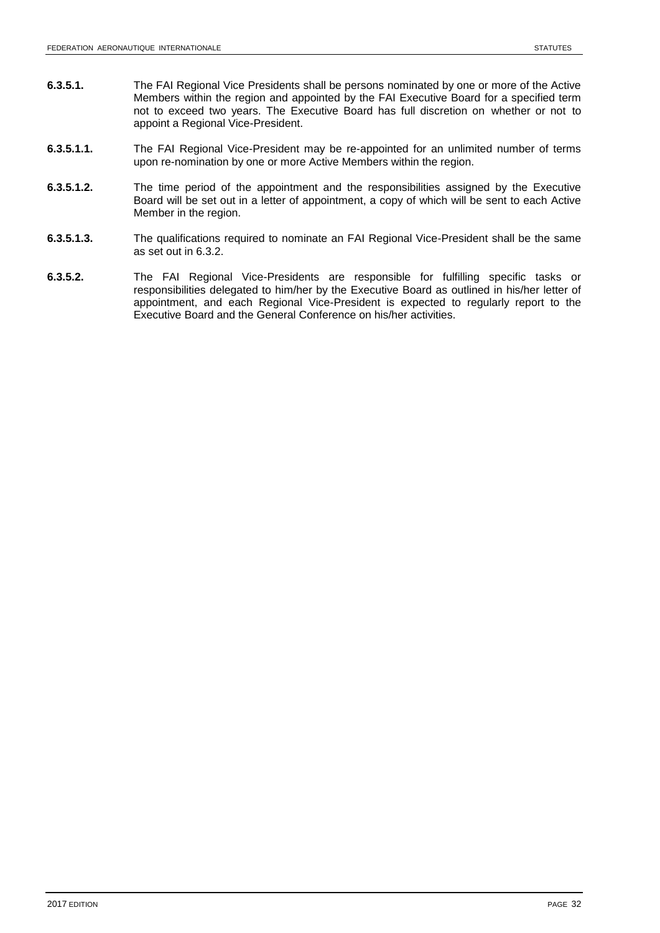- **6.3.5.1.** The FAI Regional Vice Presidents shall be persons nominated by one or more of the Active Members within the region and appointed by the FAI Executive Board for a specified term not to exceed two years. The Executive Board has full discretion on whether or not to appoint a Regional Vice-President.
- **6.3.5.1.1.** The FAI Regional Vice-President may be re-appointed for an unlimited number of terms upon re-nomination by one or more Active Members within the region.
- **6.3.5.1.2.** The time period of the appointment and the responsibilities assigned by the Executive Board will be set out in a letter of appointment, a copy of which will be sent to each Active Member in the region.
- **6.3.5.1.3.** The qualifications required to nominate an FAI Regional Vice-President shall be the same as set out in 6.3.2.
- **6.3.5.2.** The FAI Regional Vice-Presidents are responsible for fulfilling specific tasks or responsibilities delegated to him/her by the Executive Board as outlined in his/her letter of appointment, and each Regional Vice-President is expected to regularly report to the Executive Board and the General Conference on his/her activities.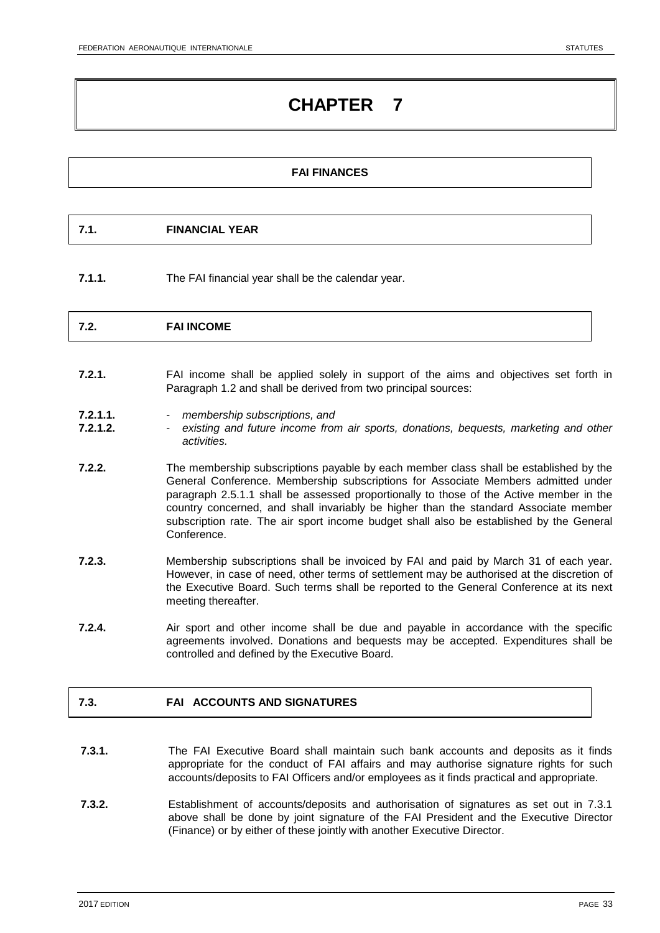### **FAI FINANCES**

**7.1.1.** The FAI financial year shall be the calendar year.

|--|

- **7.2.1.** FAI income shall be applied solely in support of the aims and objectives set forth in Paragraph 1.2 and shall be derived from two principal sources:
- **7.2.1.1.** *membership subscriptions, and*
- **7.2.1.2.** *existing and future income from air sports, donations, bequests, marketing and other activities.*
- **7.2.2.** The membership subscriptions payable by each member class shall be established by the General Conference. Membership subscriptions for Associate Members admitted under paragraph 2.5.1.1 shall be assessed proportionally to those of the Active member in the country concerned, and shall invariably be higher than the standard Associate member subscription rate. The air sport income budget shall also be established by the General Conference.
- **7.2.3.** Membership subscriptions shall be invoiced by FAI and paid by March 31 of each year. However, in case of need, other terms of settlement may be authorised at the discretion of the Executive Board. Such terms shall be reported to the General Conference at its next meeting thereafter.
- **7.2.4.** Air sport and other income shall be due and payable in accordance with the specific agreements involved. Donations and bequests may be accepted. Expenditures shall be controlled and defined by the Executive Board.

# **7.3. FAI ACCOUNTS AND SIGNATURES**

- **7.3.1.** The FAI Executive Board shall maintain such bank accounts and deposits as it finds appropriate for the conduct of FAI affairs and may authorise signature rights for such accounts/deposits to FAI Officers and/or employees as it finds practical and appropriate.
- **7.3.2.** Establishment of accounts/deposits and authorisation of signatures as set out in 7.3.1 above shall be done by joint signature of the FAI President and the Executive Director (Finance) or by either of these jointly with another Executive Director.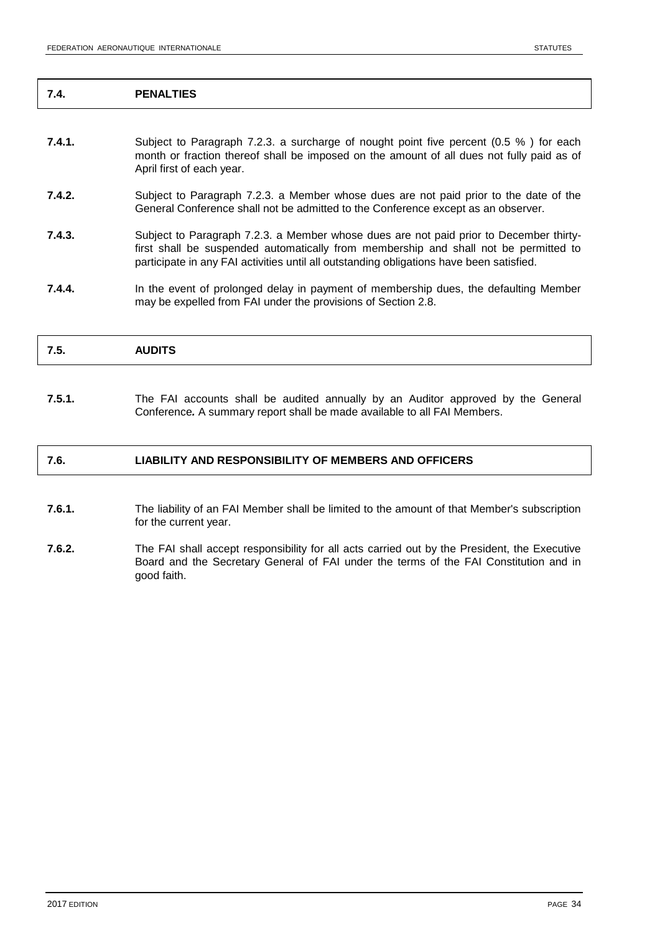### **7.4. PENALTIES**

- **7.4.1.** Subject to Paragraph 7.2.3. a surcharge of nought point five percent (0.5 %) for each month or fraction thereof shall be imposed on the amount of all dues not fully paid as of April first of each year.
- **7.4.2.** Subject to Paragraph 7.2.3. a Member whose dues are not paid prior to the date of the General Conference shall not be admitted to the Conference except as an observer.
- **7.4.3.** Subject to Paragraph 7.2.3. a Member whose dues are not paid prior to December thirtyfirst shall be suspended automatically from membership and shall not be permitted to participate in any FAI activities until all outstanding obligations have been satisfied.
- **7.4.4.** In the event of prolonged delay in payment of membership dues, the defaulting Member may be expelled from FAI under the provisions of Section 2.8.

**7.5.1.** The FAI accounts shall be audited annually by an Auditor approved by the General Conference*.* A summary report shall be made available to all FAI Members.

### **7.6. LIABILITY AND RESPONSIBILITY OF MEMBERS AND OFFICERS**

- **7.6.1.** The liability of an FAI Member shall be limited to the amount of that Member's subscription for the current year.
- **7.6.2.** The FAI shall accept responsibility for all acts carried out by the President, the Executive Board and the Secretary General of FAI under the terms of the FAI Constitution and in good faith.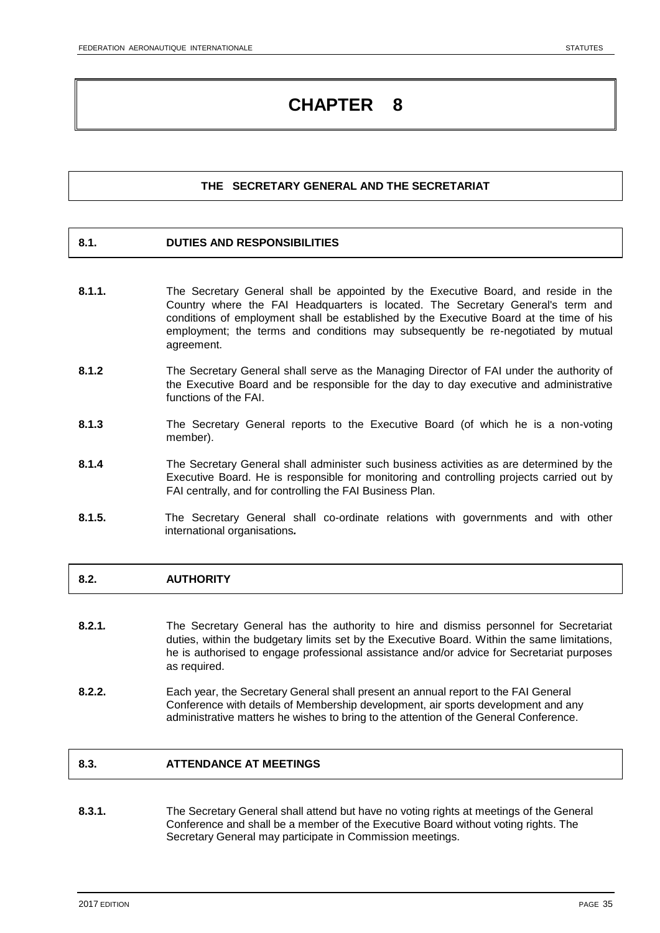# **THE SECRETARY GENERAL AND THE SECRETARIAT**

### **8.1. DUTIES AND RESPONSIBILITIES**

- **8.1.1.** The Secretary General shall be appointed by the Executive Board, and reside in the Country where the FAI Headquarters is located. The Secretary General's term and conditions of employment shall be established by the Executive Board at the time of his employment; the terms and conditions may subsequently be re-negotiated by mutual agreement.
- **8.1.2** The Secretary General shall serve as the Managing Director of FAI under the authority of the Executive Board and be responsible for the day to day executive and administrative functions of the FAI.
- **8.1.3** The Secretary General reports to the Executive Board (of which he is a non-voting member).
- **8.1.4** The Secretary General shall administer such business activities as are determined by the Executive Board. He is responsible for monitoring and controlling projects carried out by FAI centrally, and for controlling the FAI Business Plan.
- **8.1.5.** The Secretary General shall co-ordinate relations with governments and with other international organisations*.*

# **8.2. AUTHORITY**

- **8.2.1***.* The Secretary General has the authority to hire and dismiss personnel for Secretariat duties, within the budgetary limits set by the Executive Board. Within the same limitations, he is authorised to engage professional assistance and/or advice for Secretariat purposes as required.
- **8.2.2.** Each year, the Secretary General shall present an annual report to the FAI General Conference with details of Membership development, air sports development and any administrative matters he wishes to bring to the attention of the General Conference.

# **8.3. ATTENDANCE AT MEETINGS**

**8.3.1.** The Secretary General shall attend but have no voting rights at meetings of the General Conference and shall be a member of the Executive Board without voting rights. The Secretary General may participate in Commission meetings.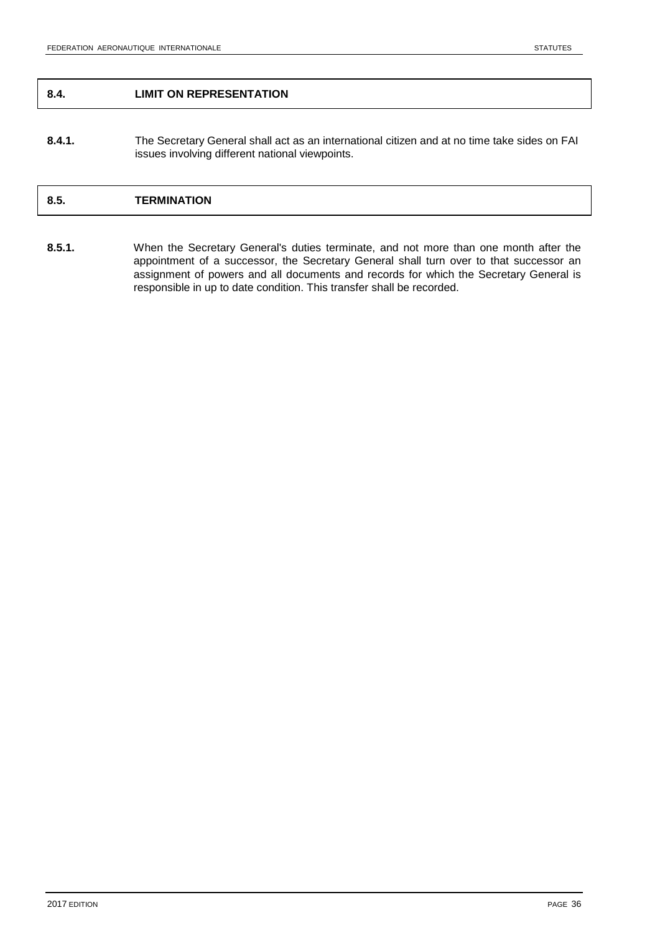### **8.4. LIMIT ON REPRESENTATION**

**8.4.1.** The Secretary General shall act as an international citizen and at no time take sides on FAI issues involving different national viewpoints.

# **8.5. TERMINATION**

**8.5.1.** When the Secretary General's duties terminate, and not more than one month after the appointment of a successor, the Secretary General shall turn over to that successor an assignment of powers and all documents and records for which the Secretary General is responsible in up to date condition. This transfer shall be recorded.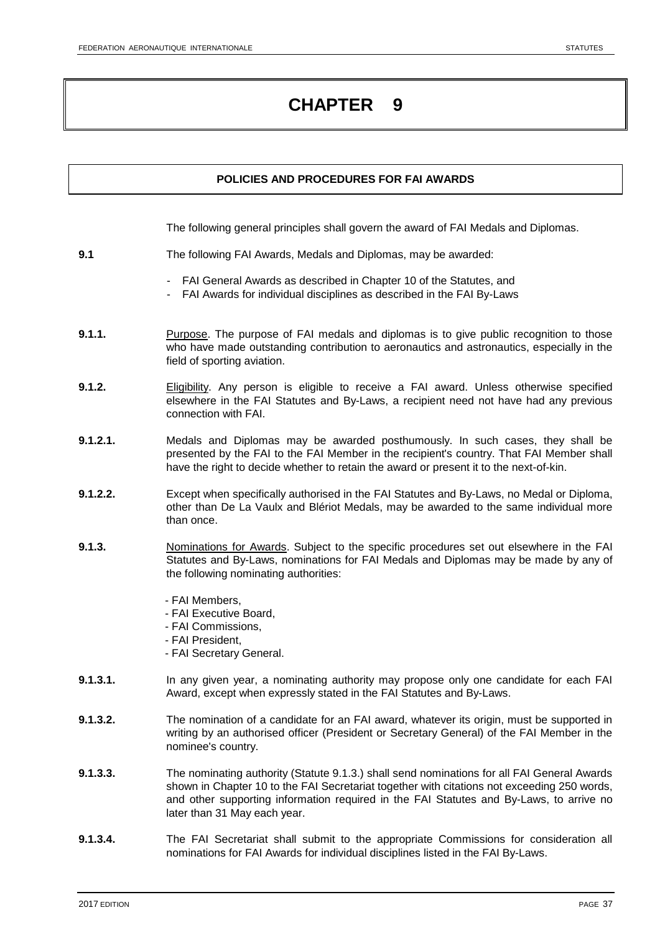# **POLICIES AND PROCEDURES FOR FAI AWARDS**

The following general principles shall govern the award of FAI Medals and Diplomas.

- **9.1** The following FAI Awards, Medals and Diplomas, may be awarded:
	- FAI General Awards as described in Chapter 10 of the Statutes, and
	- FAI Awards for individual disciplines as described in the FAI By-Laws
- **9.1.1.** Purpose. The purpose of FAI medals and diplomas is to give public recognition to those who have made outstanding contribution to aeronautics and astronautics, especially in the field of sporting aviation.
- **9.1.2.** Eligibility. Any person is eligible to receive a FAI award. Unless otherwise specified elsewhere in the FAI Statutes and By-Laws, a recipient need not have had any previous connection with FAI.
- **9.1.2.1.** Medals and Diplomas may be awarded posthumously. In such cases, they shall be presented by the FAI to the FAI Member in the recipient's country. That FAI Member shall have the right to decide whether to retain the award or present it to the next-of-kin.
- **9.1.2.2.** Except when specifically authorised in the FAI Statutes and By-Laws, no Medal or Diploma, other than De La Vaulx and Blériot Medals, may be awarded to the same individual more than once.
- **9.1.3.** Nominations for Awards. Subject to the specific procedures set out elsewhere in the FAI Statutes and By-Laws, nominations for FAI Medals and Diplomas may be made by any of the following nominating authorities:
	- FAI Members,
	- FAI Executive Board,
	- FAI Commissions,
	- FAI President,
	- FAI Secretary General.
- **9.1.3.1.** In any given year, a nominating authority may propose only one candidate for each FAI Award, except when expressly stated in the FAI Statutes and By-Laws.
- **9.1.3.2.** The nomination of a candidate for an FAI award, whatever its origin, must be supported in writing by an authorised officer (President or Secretary General) of the FAI Member in the nominee's country.
- **9.1.3.3.** The nominating authority (Statute 9.1.3.) shall send nominations for all FAI General Awards shown in Chapter 10 to the FAI Secretariat together with citations not exceeding 250 words, and other supporting information required in the FAI Statutes and By-Laws, to arrive no later than 31 May each year.
- **9.1.3.4.** The FAI Secretariat shall submit to the appropriate Commissions for consideration all nominations for FAI Awards for individual disciplines listed in the FAI By-Laws.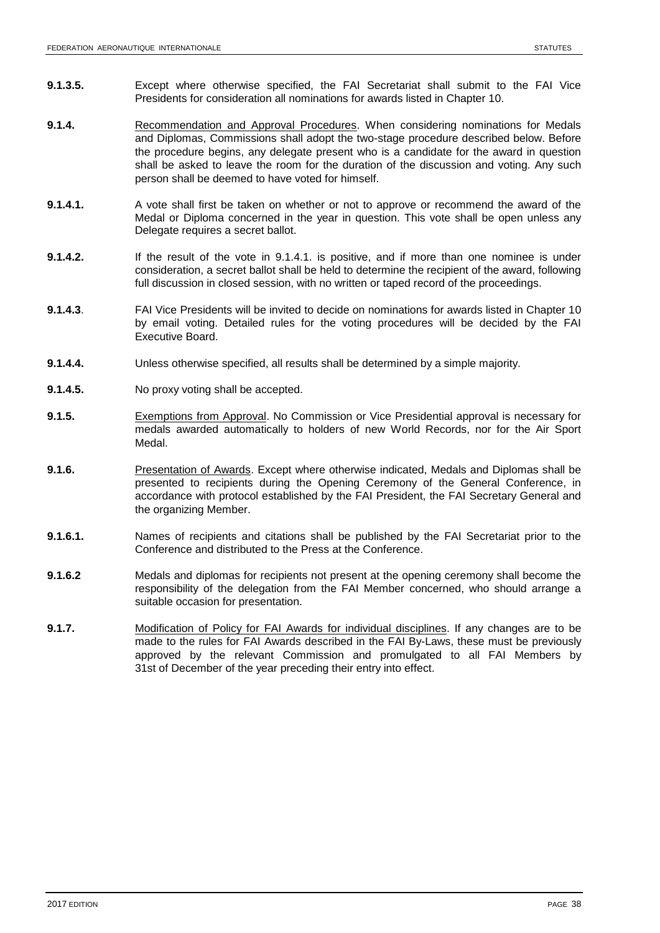- **9.1.3.5.** Except where otherwise specified, the FAI Secretariat shall submit to the FAI Vice Presidents for consideration all nominations for awards listed in Chapter 10.
- **9.1.4.** Recommendation and Approval Procedures. When considering nominations for Medals and Diplomas, Commissions shall adopt the two-stage procedure described below. Before the procedure begins, any delegate present who is a candidate for the award in question shall be asked to leave the room for the duration of the discussion and voting. Any such person shall be deemed to have voted for himself.
- **9.1.4.1.** A vote shall first be taken on whether or not to approve or recommend the award of the Medal or Diploma concerned in the year in question. This vote shall be open unless any Delegate requires a secret ballot.
- **9.1.4.2.** If the result of the vote in 9.1.4.1. is positive, and if more than one nominee is under consideration, a secret ballot shall be held to determine the recipient of the award, following full discussion in closed session, with no written or taped record of the proceedings.
- **9.1.4.3**. FAI Vice Presidents will be invited to decide on nominations for awards listed in Chapter 10 by email voting. Detailed rules for the voting procedures will be decided by the FAI Executive Board.
- **9.1.4.4.** Unless otherwise specified, all results shall be determined by a simple majority.
- **9.1.4.5.** No proxy voting shall be accepted.
- **9.1.5.** Exemptions from Approval. No Commission or Vice Presidential approval is necessary for medals awarded automatically to holders of new World Records, nor for the Air Sport Medal.
- **9.1.6.** Presentation of Awards. Except where otherwise indicated, Medals and Diplomas shall be presented to recipients during the Opening Ceremony of the General Conference, in accordance with protocol established by the FAI President, the FAI Secretary General and the organizing Member.
- **9.1.6.1.** Names of recipients and citations shall be published by the FAI Secretariat prior to the Conference and distributed to the Press at the Conference.
- **9.1.6.2** Medals and diplomas for recipients not present at the opening ceremony shall become the responsibility of the delegation from the FAI Member concerned, who should arrange a suitable occasion for presentation.
- **9.1.7.** Modification of Policy for FAI Awards for individual disciplines. If any changes are to be made to the rules for FAI Awards described in the FAI By-Laws, these must be previously approved by the relevant Commission and promulgated to all FAI Members by 31st of December of the year preceding their entry into effect.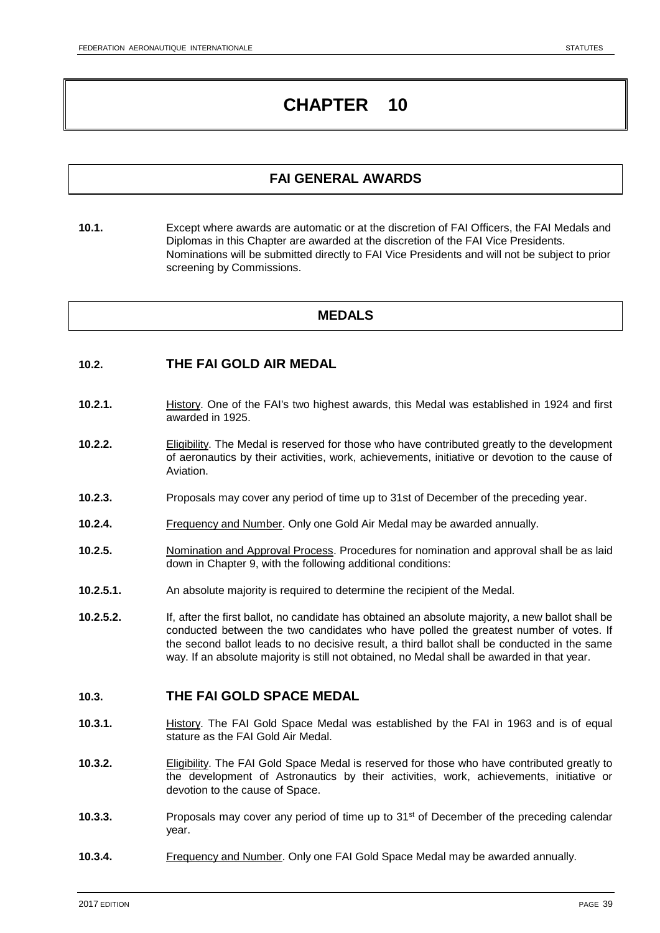# **FAI GENERAL AWARDS**

**10.1.** Except where awards are automatic or at the discretion of FAI Officers, the FAI Medals and Diplomas in this Chapter are awarded at the discretion of the FAI Vice Presidents. Nominations will be submitted directly to FAI Vice Presidents and will not be subject to prior screening by Commissions.

# **MEDALS**

### **10.2. THE FAI GOLD AIR MEDAL**

- **10.2.1.** History. One of the FAI's two highest awards, this Medal was established in 1924 and first awarded in 1925.
- **10.2.2.** Eligibility. The Medal is reserved for those who have contributed greatly to the development of aeronautics by their activities, work, achievements, initiative or devotion to the cause of Aviation.
- **10.2.3.** Proposals may cover any period of time up to 31st of December of the preceding year.
- **10.2.4.** Frequency and Number. Only one Gold Air Medal may be awarded annually.
- **10.2.5.** Nomination and Approval Process. Procedures for nomination and approval shall be as laid down in Chapter 9, with the following additional conditions:
- **10.2.5.1.** An absolute majority is required to determine the recipient of the Medal.
- **10.2.5.2.** If, after the first ballot, no candidate has obtained an absolute majority, a new ballot shall be conducted between the two candidates who have polled the greatest number of votes. If the second ballot leads to no decisive result, a third ballot shall be conducted in the same way. If an absolute majority is still not obtained, no Medal shall be awarded in that year.

### **10.3. THE FAI GOLD SPACE MEDAL**

- **10.3.1.** History. The FAI Gold Space Medal was established by the FAI in 1963 and is of equal stature as the FAI Gold Air Medal.
- **10.3.2.** Eligibility. The FAI Gold Space Medal is reserved for those who have contributed greatly to the development of Astronautics by their activities, work, achievements, initiative or devotion to the cause of Space.
- **10.3.3.** Proposals may cover any period of time up to 31<sup>st</sup> of December of the preceding calendar year.
- **10.3.4.** Frequency and Number. Only one FAI Gold Space Medal may be awarded annually.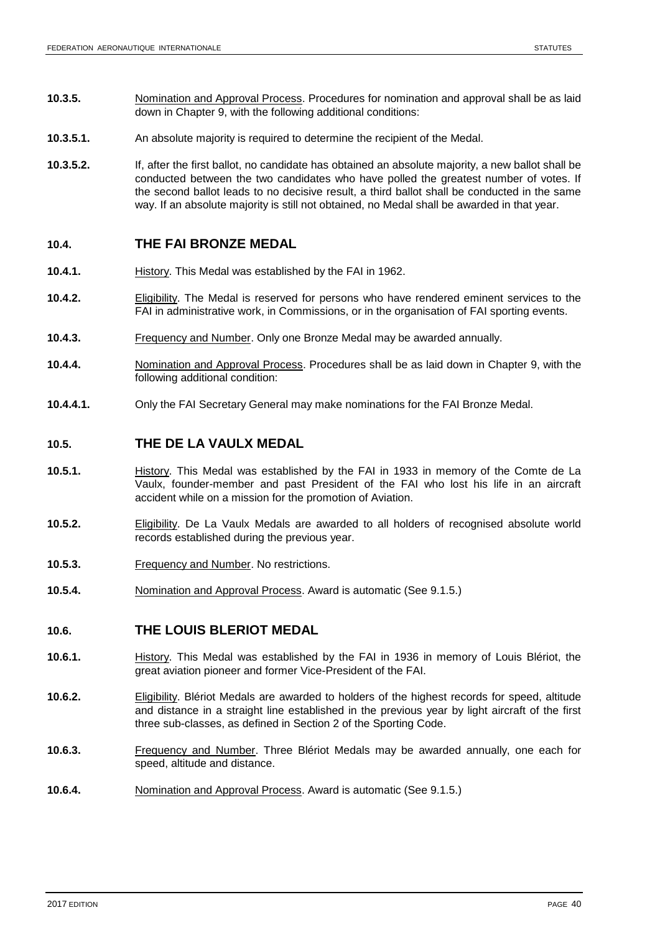- **10.3.5.** Nomination and Approval Process. Procedures for nomination and approval shall be as laid down in Chapter 9, with the following additional conditions:
- **10.3.5.1.** An absolute majority is required to determine the recipient of the Medal.
- **10.3.5.2.** If, after the first ballot, no candidate has obtained an absolute majority, a new ballot shall be conducted between the two candidates who have polled the greatest number of votes. If the second ballot leads to no decisive result, a third ballot shall be conducted in the same way. If an absolute majority is still not obtained, no Medal shall be awarded in that year.

### **10.4. THE FAI BRONZE MEDAL**

- **10.4.1.** History. This Medal was established by the FAI in 1962.
- **10.4.2.** Eligibility. The Medal is reserved for persons who have rendered eminent services to the FAI in administrative work, in Commissions, or in the organisation of FAI sporting events.
- **10.4.3.** Frequency and Number. Only one Bronze Medal may be awarded annually.
- **10.4.4.** Nomination and Approval Process. Procedures shall be as laid down in Chapter 9, with the following additional condition:
- **10.4.4.1.** Only the FAI Secretary General may make nominations for the FAI Bronze Medal.

# **10.5. THE DE LA VAULX MEDAL**

- **10.5.1.** History. This Medal was established by the FAI in 1933 in memory of the Comte de La Vaulx, founder-member and past President of the FAI who lost his life in an aircraft accident while on a mission for the promotion of Aviation.
- **10.5.2.** Eligibility. De La Vaulx Medals are awarded to all holders of recognised absolute world records established during the previous year.
- **10.5.3.** Frequency and Number. No restrictions.
- **10.5.4.** Nomination and Approval Process. Award is automatic (See 9.1.5.)

# **10.6. THE LOUIS BLERIOT MEDAL**

- **10.6.1.** History. This Medal was established by the FAI in 1936 in memory of Louis Blériot, the great aviation pioneer and former Vice-President of the FAI.
- **10.6.2.** Eligibility. Blériot Medals are awarded to holders of the highest records for speed, altitude and distance in a straight line established in the previous year by light aircraft of the first three sub-classes, as defined in Section 2 of the Sporting Code.
- **10.6.3.** Frequency and Number. Three Blériot Medals may be awarded annually, one each for speed, altitude and distance.
- **10.6.4.** Nomination and Approval Process. Award is automatic (See 9.1.5.)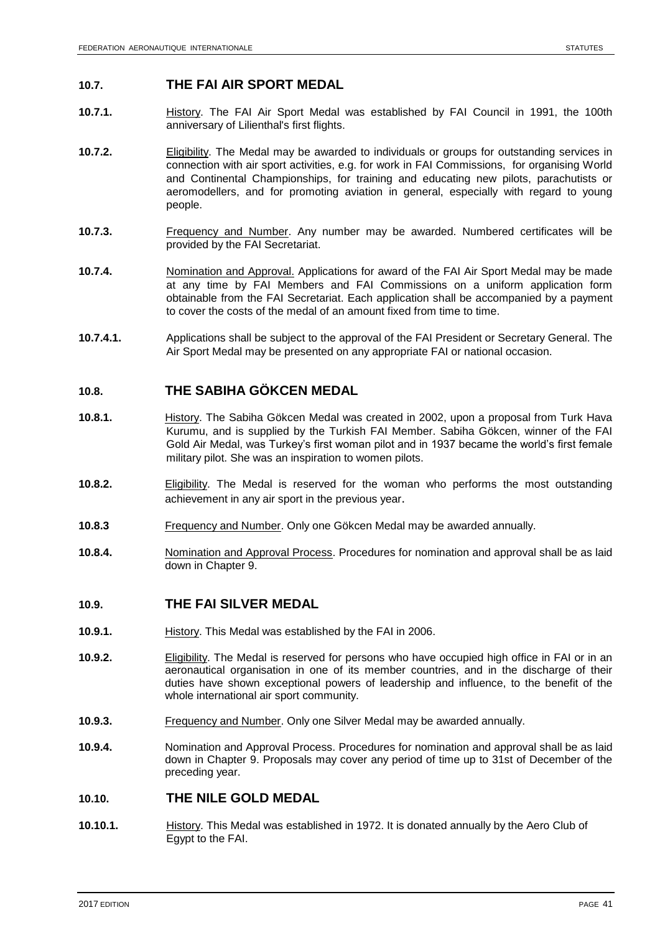### **10.7. THE FAI AIR SPORT MEDAL**

- **10.7.1.** History. The FAI Air Sport Medal was established by FAI Council in 1991, the 100th anniversary of Lilienthal's first flights.
- **10.7.2.** Eligibility. The Medal may be awarded to individuals or groups for outstanding services in connection with air sport activities, e.g. for work in FAI Commissions, for organising World and Continental Championships, for training and educating new pilots, parachutists or aeromodellers, and for promoting aviation in general, especially with regard to young people.
- **10.7.3.** Frequency and Number. Any number may be awarded. Numbered certificates will be provided by the FAI Secretariat.
- **10.7.4.** Nomination and Approval. Applications for award of the FAI Air Sport Medal may be made at any time by FAI Members and FAI Commissions on a uniform application form obtainable from the FAI Secretariat. Each application shall be accompanied by a payment to cover the costs of the medal of an amount fixed from time to time.
- **10.7.4.1.** Applications shall be subject to the approval of the FAI President or Secretary General. The Air Sport Medal may be presented on any appropriate FAI or national occasion.

# **10.8. THE SABIHA GÖKCEN MEDAL**

- **10.8.1.** History. The Sabiha Gökcen Medal was created in 2002, upon a proposal from Turk Hava Kurumu, and is supplied by the Turkish FAI Member. Sabiha Gökcen, winner of the FAI Gold Air Medal, was Turkey's first woman pilot and in 1937 became the world's first female military pilot. She was an inspiration to women pilots.
- **10.8.2.** Eligibility. The Medal is reserved for the woman who performs the most outstanding achievement in any air sport in the previous year.
- **10.8.3** Frequency and Number. Only one Gökcen Medal may be awarded annually.
- **10.8.4.** Nomination and Approval Process. Procedures for nomination and approval shall be as laid down in Chapter 9.

### **10.9. THE FAI SILVER MEDAL**

- **10.9.1.** History. This Medal was established by the FAI in 2006.
- **10.9.2.** Eligibility. The Medal is reserved for persons who have occupied high office in FAI or in an aeronautical organisation in one of its member countries, and in the discharge of their duties have shown exceptional powers of leadership and influence, to the benefit of the whole international air sport community.
- **10.9.3.** Frequency and Number. Only one Silver Medal may be awarded annually.
- **10.9.4.** Nomination and Approval Process. Procedures for nomination and approval shall be as laid down in Chapter 9. Proposals may cover any period of time up to 31st of December of the preceding year.

### **10.10. THE NILE GOLD MEDAL**

**10.10.1.** History. This Medal was established in 1972. It is donated annually by the Aero Club of Egypt to the FAI.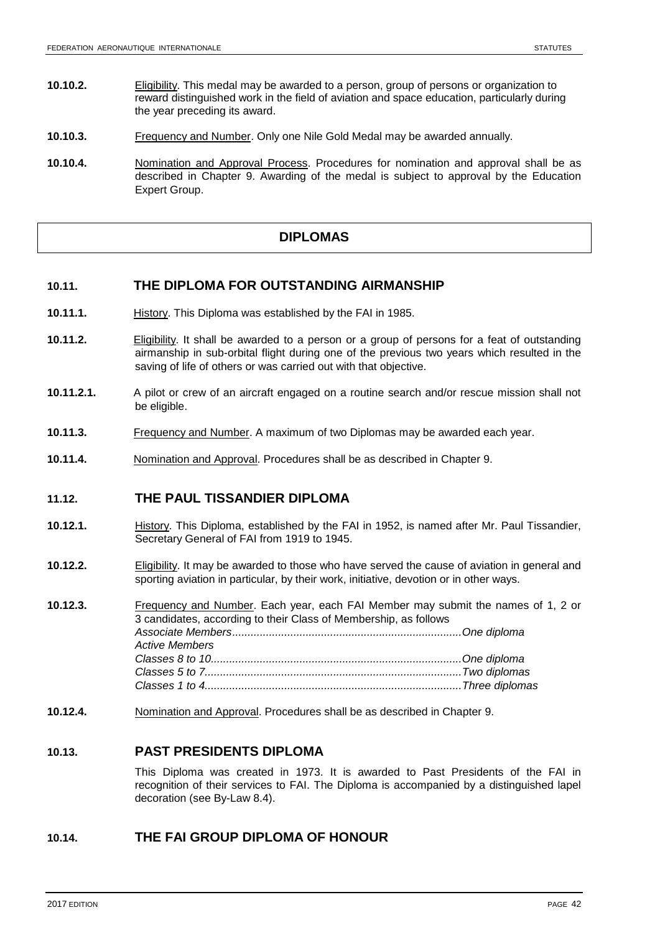- **10.10.2.** Eligibility. This medal may be awarded to a person, group of persons or organization to reward distinguished work in the field of aviation and space education, particularly during the year preceding its award.
- **10.10.3.** Frequency and Number. Only one Nile Gold Medal may be awarded annually.
- **10.10.4.** Nomination and Approval Process. Procedures for nomination and approval shall be as described in Chapter 9. Awarding of the medal is subject to approval by the Education Expert Group.

# **DIPLOMAS**

# **10.11. THE DIPLOMA FOR OUTSTANDING AIRMANSHIP**

- **10.11.1.** History. This Diploma was established by the FAI in 1985.
- **10.11.2.** Eligibility. It shall be awarded to a person or a group of persons for a feat of outstanding airmanship in sub-orbital flight during one of the previous two years which resulted in the saving of life of others or was carried out with that objective.
- **10.11.2.1.** A pilot or crew of an aircraft engaged on a routine search and/or rescue mission shall not be eligible.
- **10.11.3.** Frequency and Number. A maximum of two Diplomas may be awarded each year.
- **10.11.4.** Nomination and Approval. Procedures shall be as described in Chapter 9.

### **11.12. THE PAUL TISSANDIER DIPLOMA**

- **10.12.1.** History. This Diploma, established by the FAI in 1952, is named after Mr. Paul Tissandier, Secretary General of FAI from 1919 to 1945.
- **10.12.2.** Eligibility. It may be awarded to those who have served the cause of aviation in general and sporting aviation in particular, by their work, initiative, devotion or in other ways.

**10.12.3.** Frequency and Number. Each year, each FAI Member may submit the names of 1, 2 or 3 candidates, according to their Class of Membership, as follows *Associate Members...........................................................................One diploma Active Members Classes 8 to 10..................................................................................One diploma Classes 5 to 7....................................................................................Two diplomas Classes 1 to 4....................................................................................Three diplomas*

**10.12.4.** Nomination and Approval. Procedures shall be as described in Chapter 9.

# **10.13. PAST PRESIDENTS DIPLOMA**

This Diploma was created in 1973. It is awarded to Past Presidents of the FAI in recognition of their services to FAI. The Diploma is accompanied by a distinguished lapel decoration (see By-Law 8.4).

### **10.14. THE FAI GROUP DIPLOMA OF HONOUR**